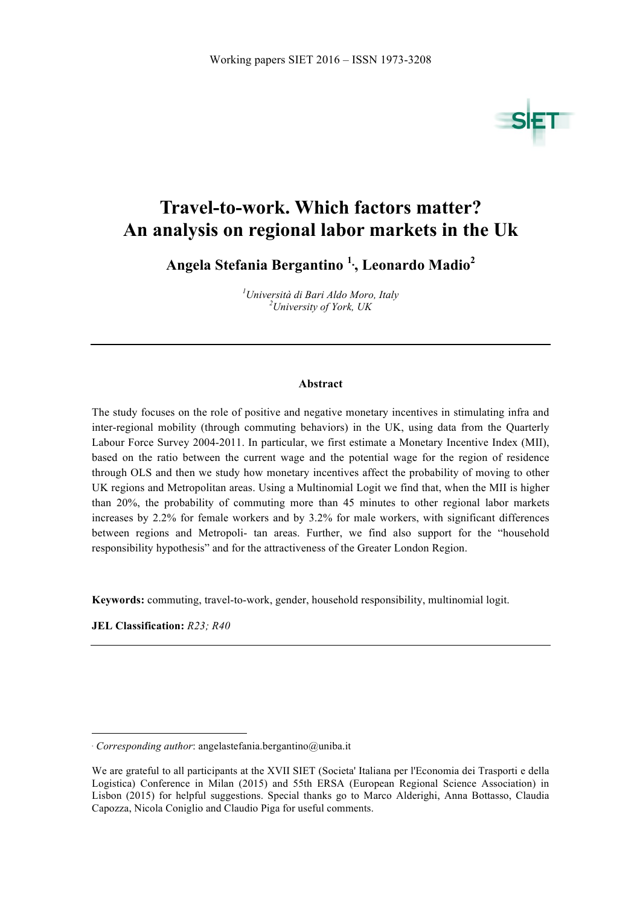

# **Travel-to-work. Which factors matter? An analysis on regional labor markets in the Uk**

**Angela Stefania Bergantino <sup>1</sup>**<sup>∗</sup> **, Leonardo Madio<sup>2</sup>**

*1 Università di Bari Aldo Moro, Italy <sup>2</sup> University of York, UK*

#### **Abstract**

The study focuses on the role of positive and negative monetary incentives in stimulating infra and inter-regional mobility (through commuting behaviors) in the UK, using data from the Quarterly Labour Force Survey 2004-2011. In particular, we first estimate a Monetary Incentive Index (MII), based on the ratio between the current wage and the potential wage for the region of residence through OLS and then we study how monetary incentives affect the probability of moving to other UK regions and Metropolitan areas. Using a Multinomial Logit we find that, when the MII is higher than 20%, the probability of commuting more than 45 minutes to other regional labor markets increases by 2.2% for female workers and by 3.2% for male workers, with significant differences between regions and Metropoli- tan areas. Further, we find also support for the "household responsibility hypothesis" and for the attractiveness of the Greater London Region.

**Keywords:** commuting, travel-to-work, gender, household responsibility, multinomial logit.

**JEL Classification:** *R23; R40*

 $\overline{a}$ 

<sup>∗</sup> *Corresponding author*: angelastefania.bergantino@uniba.it

We are grateful to all participants at the XVII SIET (Societa' Italiana per l'Economia dei Trasporti e della Logistica) Conference in Milan (2015) and 55th ERSA (European Regional Science Association) in Lisbon (2015) for helpful suggestions. Special thanks go to Marco Alderighi, Anna Bottasso, Claudia Capozza, Nicola Coniglio and Claudio Piga for useful comments.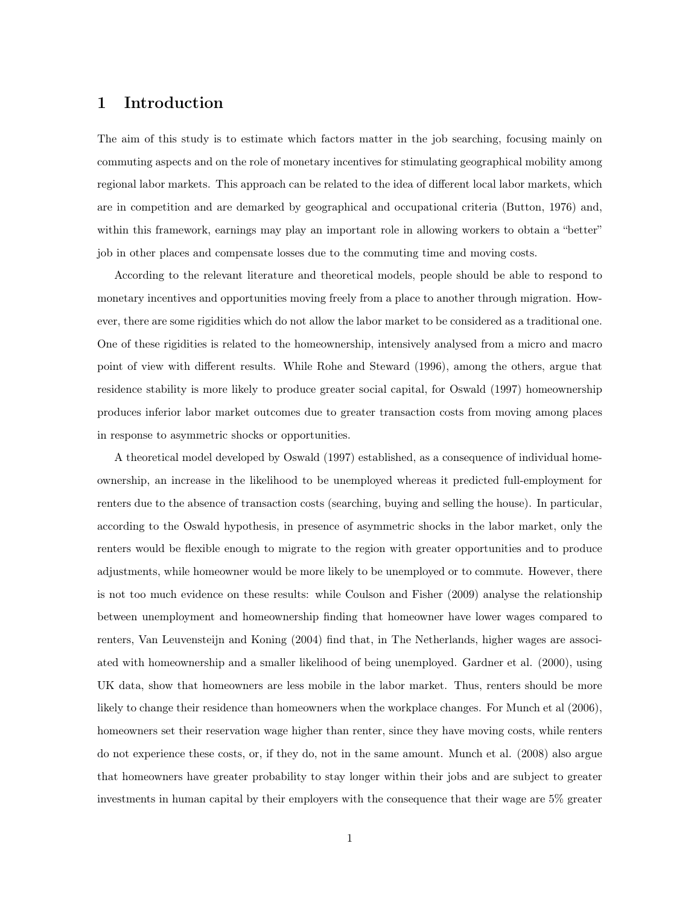## 1 Introduction

The aim of this study is to estimate which factors matter in the job searching, focusing mainly on commuting aspects and on the role of monetary incentives for stimulating geographical mobility among regional labor markets. This approach can be related to the idea of different local labor markets, which are in competition and are demarked by geographical and occupational criteria (Button, 1976) and, within this framework, earnings may play an important role in allowing workers to obtain a "better" job in other places and compensate losses due to the commuting time and moving costs.

According to the relevant literature and theoretical models, people should be able to respond to monetary incentives and opportunities moving freely from a place to another through migration. However, there are some rigidities which do not allow the labor market to be considered as a traditional one. One of these rigidities is related to the homeownership, intensively analysed from a micro and macro point of view with different results. While Rohe and Steward (1996), among the others, argue that residence stability is more likely to produce greater social capital, for Oswald (1997) homeownership produces inferior labor market outcomes due to greater transaction costs from moving among places in response to asymmetric shocks or opportunities.

A theoretical model developed by Oswald (1997) established, as a consequence of individual homeownership, an increase in the likelihood to be unemployed whereas it predicted full-employment for renters due to the absence of transaction costs (searching, buying and selling the house). In particular, according to the Oswald hypothesis, in presence of asymmetric shocks in the labor market, only the renters would be flexible enough to migrate to the region with greater opportunities and to produce adjustments, while homeowner would be more likely to be unemployed or to commute. However, there is not too much evidence on these results: while Coulson and Fisher (2009) analyse the relationship between unemployment and homeownership finding that homeowner have lower wages compared to renters, Van Leuvensteijn and Koning (2004) find that, in The Netherlands, higher wages are associated with homeownership and a smaller likelihood of being unemployed. Gardner et al. (2000), using UK data, show that homeowners are less mobile in the labor market. Thus, renters should be more likely to change their residence than homeowners when the workplace changes. For Munch et al (2006), homeowners set their reservation wage higher than renter, since they have moving costs, while renters do not experience these costs, or, if they do, not in the same amount. Munch et al. (2008) also argue that homeowners have greater probability to stay longer within their jobs and are subject to greater investments in human capital by their employers with the consequence that their wage are 5% greater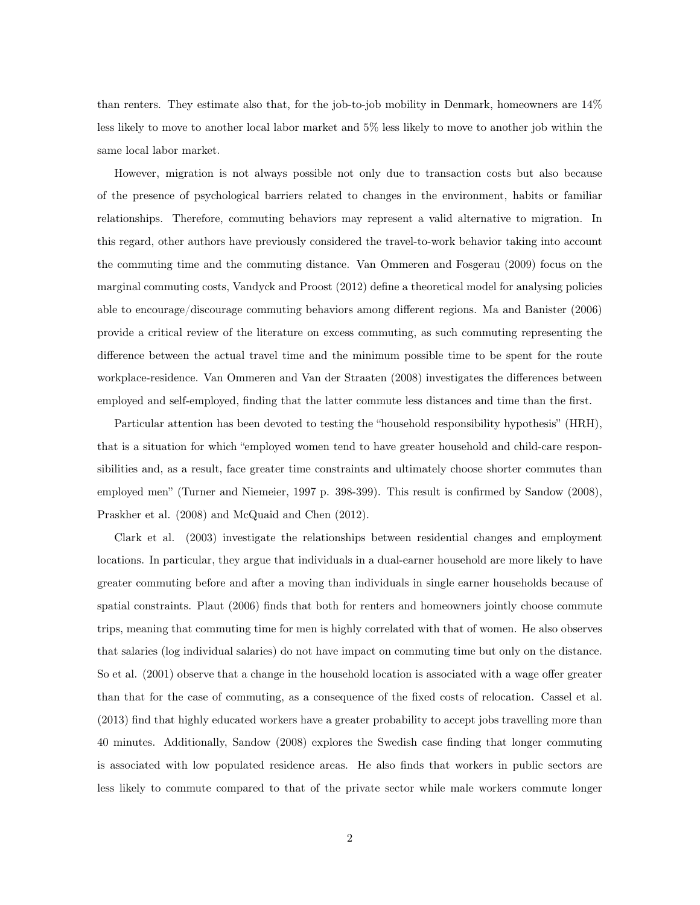than renters. They estimate also that, for the job-to-job mobility in Denmark, homeowners are 14% less likely to move to another local labor market and 5% less likely to move to another job within the same local labor market.

However, migration is not always possible not only due to transaction costs but also because of the presence of psychological barriers related to changes in the environment, habits or familiar relationships. Therefore, commuting behaviors may represent a valid alternative to migration. In this regard, other authors have previously considered the travel-to-work behavior taking into account the commuting time and the commuting distance. Van Ommeren and Fosgerau (2009) focus on the marginal commuting costs, Vandyck and Proost (2012) define a theoretical model for analysing policies able to encourage/discourage commuting behaviors among different regions. Ma and Banister (2006) provide a critical review of the literature on excess commuting, as such commuting representing the difference between the actual travel time and the minimum possible time to be spent for the route workplace-residence. Van Ommeren and Van der Straaten (2008) investigates the differences between employed and self-employed, finding that the latter commute less distances and time than the first.

Particular attention has been devoted to testing the "household responsibility hypothesis" (HRH), that is a situation for which "employed women tend to have greater household and child-care responsibilities and, as a result, face greater time constraints and ultimately choose shorter commutes than employed men" (Turner and Niemeier, 1997 p. 398-399). This result is confirmed by Sandow (2008), Praskher et al. (2008) and McQuaid and Chen (2012).

Clark et al. (2003) investigate the relationships between residential changes and employment locations. In particular, they argue that individuals in a dual-earner household are more likely to have greater commuting before and after a moving than individuals in single earner households because of spatial constraints. Plaut (2006) finds that both for renters and homeowners jointly choose commute trips, meaning that commuting time for men is highly correlated with that of women. He also observes that salaries (log individual salaries) do not have impact on commuting time but only on the distance. So et al. (2001) observe that a change in the household location is associated with a wage offer greater than that for the case of commuting, as a consequence of the fixed costs of relocation. Cassel et al. (2013) find that highly educated workers have a greater probability to accept jobs travelling more than 40 minutes. Additionally, Sandow (2008) explores the Swedish case finding that longer commuting is associated with low populated residence areas. He also finds that workers in public sectors are less likely to commute compared to that of the private sector while male workers commute longer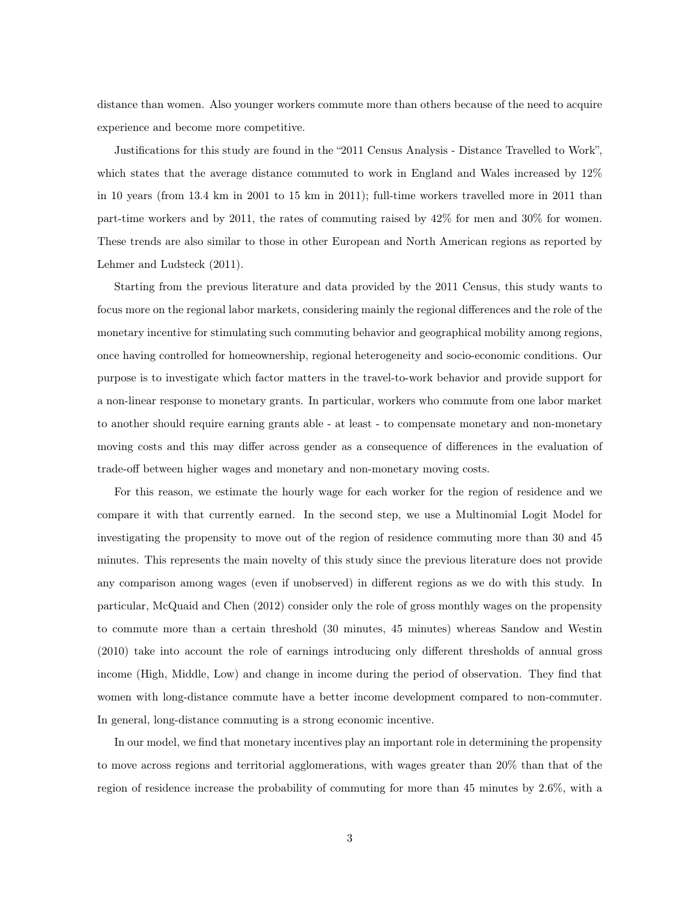distance than women. Also younger workers commute more than others because of the need to acquire experience and become more competitive.

Justifications for this study are found in the "2011 Census Analysis - Distance Travelled to Work", which states that the average distance commuted to work in England and Wales increased by 12% in 10 years (from 13.4 km in 2001 to 15 km in 2011); full-time workers travelled more in 2011 than part-time workers and by 2011, the rates of commuting raised by 42% for men and 30% for women. These trends are also similar to those in other European and North American regions as reported by Lehmer and Ludsteck (2011).

Starting from the previous literature and data provided by the 2011 Census, this study wants to focus more on the regional labor markets, considering mainly the regional differences and the role of the monetary incentive for stimulating such commuting behavior and geographical mobility among regions, once having controlled for homeownership, regional heterogeneity and socio-economic conditions. Our purpose is to investigate which factor matters in the travel-to-work behavior and provide support for a non-linear response to monetary grants. In particular, workers who commute from one labor market to another should require earning grants able - at least - to compensate monetary and non-monetary moving costs and this may differ across gender as a consequence of differences in the evaluation of trade-off between higher wages and monetary and non-monetary moving costs.

For this reason, we estimate the hourly wage for each worker for the region of residence and we compare it with that currently earned. In the second step, we use a Multinomial Logit Model for investigating the propensity to move out of the region of residence commuting more than 30 and 45 minutes. This represents the main novelty of this study since the previous literature does not provide any comparison among wages (even if unobserved) in different regions as we do with this study. In particular, McQuaid and Chen (2012) consider only the role of gross monthly wages on the propensity to commute more than a certain threshold (30 minutes, 45 minutes) whereas Sandow and Westin (2010) take into account the role of earnings introducing only different thresholds of annual gross income (High, Middle, Low) and change in income during the period of observation. They find that women with long-distance commute have a better income development compared to non-commuter. In general, long-distance commuting is a strong economic incentive.

In our model, we find that monetary incentives play an important role in determining the propensity to move across regions and territorial agglomerations, with wages greater than 20% than that of the region of residence increase the probability of commuting for more than 45 minutes by 2.6%, with a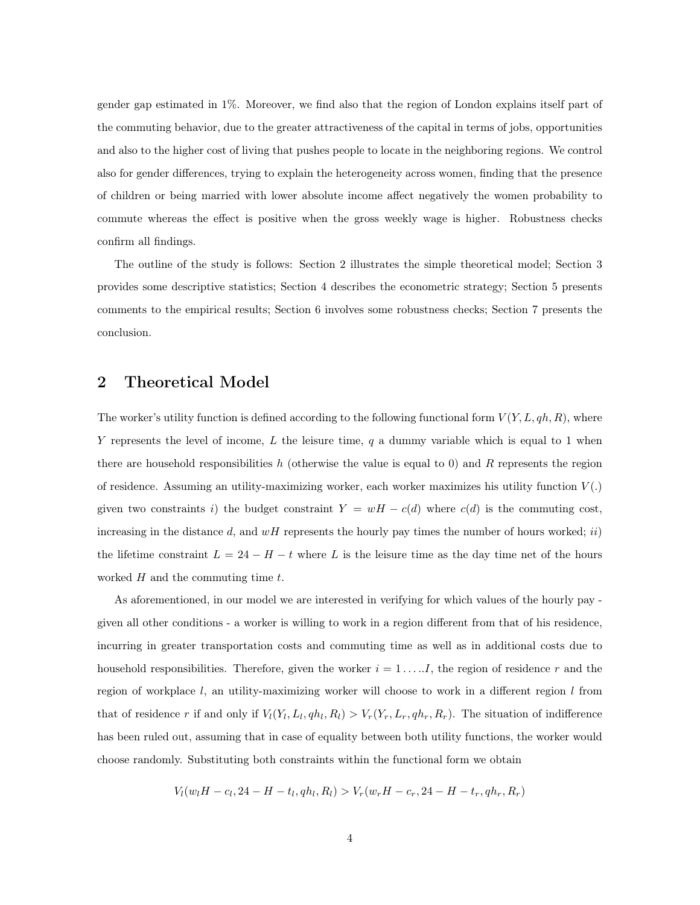gender gap estimated in 1%. Moreover, we find also that the region of London explains itself part of the commuting behavior, due to the greater attractiveness of the capital in terms of jobs, opportunities and also to the higher cost of living that pushes people to locate in the neighboring regions. We control also for gender differences, trying to explain the heterogeneity across women, finding that the presence of children or being married with lower absolute income affect negatively the women probability to commute whereas the effect is positive when the gross weekly wage is higher. Robustness checks confirm all findings.

The outline of the study is follows: Section 2 illustrates the simple theoretical model; Section 3 provides some descriptive statistics; Section 4 describes the econometric strategy; Section 5 presents comments to the empirical results; Section 6 involves some robustness checks; Section 7 presents the conclusion.

## 2 Theoretical Model

The worker's utility function is defined according to the following functional form  $V(Y, L, qh, R)$ , where Y represents the level of income,  $L$  the leisure time,  $q$  a dummy variable which is equal to 1 when there are household responsibilities h (otherwise the value is equal to 0) and R represents the region of residence. Assuming an utility-maximizing worker, each worker maximizes his utility function  $V(.)$ given two constraints i) the budget constraint  $Y = wH - c(d)$  where  $c(d)$  is the commuting cost, increasing in the distance d, and  $wH$  represents the hourly pay times the number of hours worked; ii) the lifetime constraint  $L = 24 - H - t$  where L is the leisure time as the day time net of the hours worked  $H$  and the commuting time  $t$ .

As aforementioned, in our model we are interested in verifying for which values of the hourly pay given all other conditions - a worker is willing to work in a region different from that of his residence, incurring in greater transportation costs and commuting time as well as in additional costs due to household responsibilities. Therefore, given the worker  $i = 1, \ldots, I$ , the region of residence r and the region of workplace  $l$ , an utility-maximizing worker will choose to work in a different region  $l$  from that of residence r if and only if  $V_l(Y_l, L_l, qh_l, R_l) > V_r(Y_r, L_r, qh_r, R_r)$ . The situation of indifference has been ruled out, assuming that in case of equality between both utility functions, the worker would choose randomly. Substituting both constraints within the functional form we obtain

$$
V_l(w_lH - c_l, 24 - H - t_l, qh_l, R_l) > V_r(w_rH - c_r, 24 - H - t_r, qh_r, R_r)
$$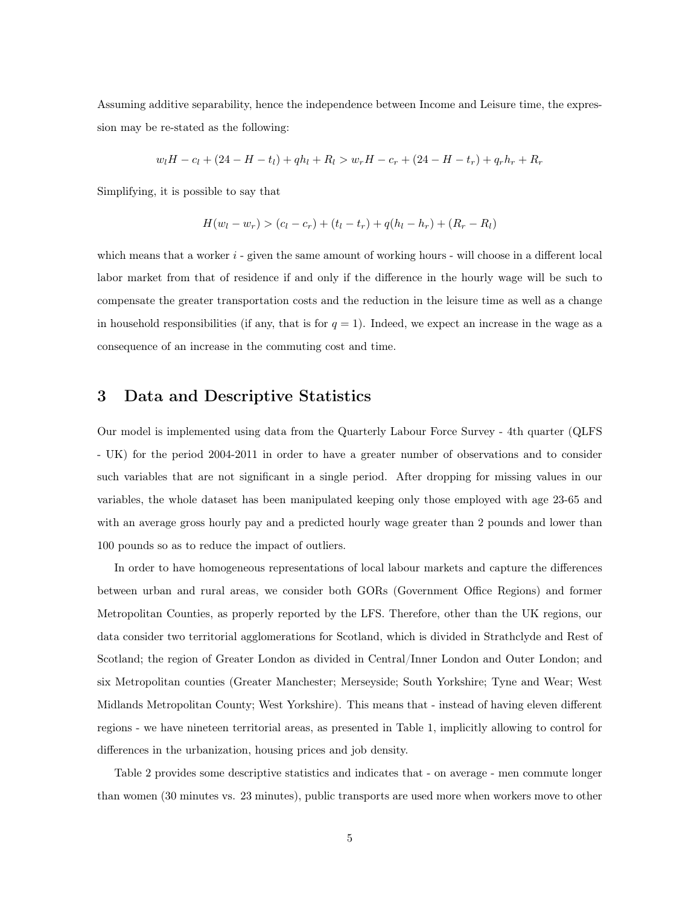Assuming additive separability, hence the independence between Income and Leisure time, the expression may be re-stated as the following:

$$
w_lH - c_l + (24 - H - t_l) + qh_l + R_l > w_rH - c_r + (24 - H - t_r) + q_rh_r + R_r
$$

Simplifying, it is possible to say that

$$
H(w_l - w_r) > (c_l - c_r) + (t_l - t_r) + q(h_l - h_r) + (R_r - R_l)
$$

which means that a worker  $i$  - given the same amount of working hours - will choose in a different local labor market from that of residence if and only if the difference in the hourly wage will be such to compensate the greater transportation costs and the reduction in the leisure time as well as a change in household responsibilities (if any, that is for  $q = 1$ ). Indeed, we expect an increase in the wage as a consequence of an increase in the commuting cost and time.

# 3 Data and Descriptive Statistics

Our model is implemented using data from the Quarterly Labour Force Survey - 4th quarter (QLFS - UK) for the period 2004-2011 in order to have a greater number of observations and to consider such variables that are not significant in a single period. After dropping for missing values in our variables, the whole dataset has been manipulated keeping only those employed with age 23-65 and with an average gross hourly pay and a predicted hourly wage greater than 2 pounds and lower than 100 pounds so as to reduce the impact of outliers.

In order to have homogeneous representations of local labour markets and capture the differences between urban and rural areas, we consider both GORs (Government Office Regions) and former Metropolitan Counties, as properly reported by the LFS. Therefore, other than the UK regions, our data consider two territorial agglomerations for Scotland, which is divided in Strathclyde and Rest of Scotland; the region of Greater London as divided in Central/Inner London and Outer London; and six Metropolitan counties (Greater Manchester; Merseyside; South Yorkshire; Tyne and Wear; West Midlands Metropolitan County; West Yorkshire). This means that - instead of having eleven different regions - we have nineteen territorial areas, as presented in Table 1, implicitly allowing to control for differences in the urbanization, housing prices and job density.

Table 2 provides some descriptive statistics and indicates that - on average - men commute longer than women (30 minutes vs. 23 minutes), public transports are used more when workers move to other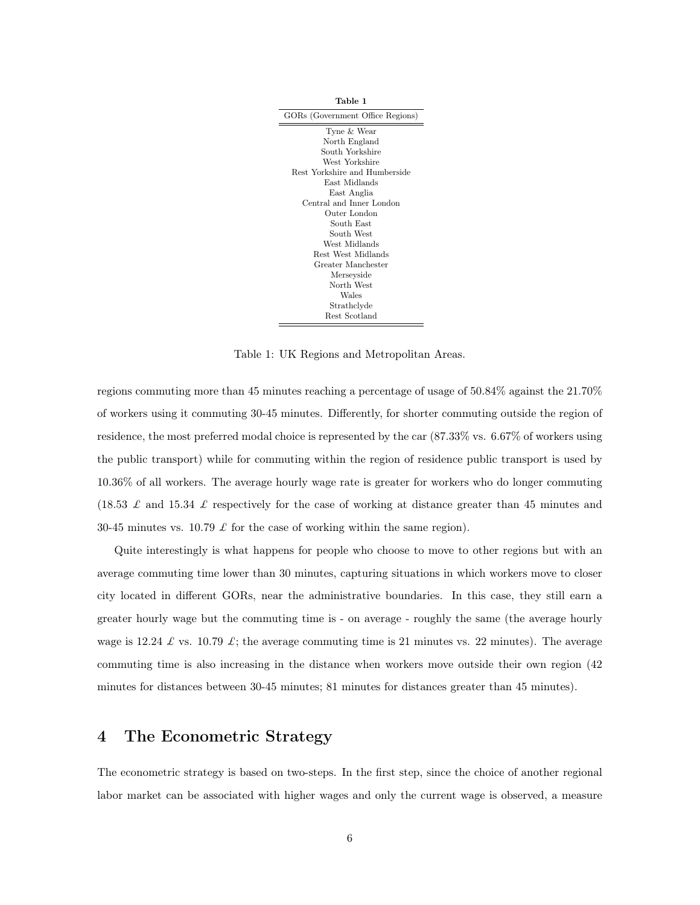| Table 1                          |
|----------------------------------|
| GORs (Government Office Regions) |
| Tyne & Wear                      |
| North England                    |
| South Yorkshire                  |
| West Yorkshire                   |
| Rest Yorkshire and Humberside    |
| East Midlands                    |
| East Anglia                      |
| Central and Inner London         |
| Outer London                     |
| South East                       |
| South West                       |
| West Midlands                    |
| Rest West Midlands               |
| Greater Manchester               |
| Merseyside                       |
| North West                       |
| Wales                            |
| Strathclyde                      |
| Rest Scotland                    |

Table 1: UK Regions and Metropolitan Areas.

regions commuting more than 45 minutes reaching a percentage of usage of 50.84% against the 21.70% of workers using it commuting 30-45 minutes. Differently, for shorter commuting outside the region of residence, the most preferred modal choice is represented by the car (87.33% vs. 6.67% of workers using the public transport) while for commuting within the region of residence public transport is used by 10.36% of all workers. The average hourly wage rate is greater for workers who do longer commuting  $(18.53 \tImes$  and 15.34  $\tImes$  respectively for the case of working at distance greater than 45 minutes and 30-45 minutes vs. 10.79  $\pounds$  for the case of working within the same region).

Quite interestingly is what happens for people who choose to move to other regions but with an average commuting time lower than 30 minutes, capturing situations in which workers move to closer city located in different GORs, near the administrative boundaries. In this case, they still earn a greater hourly wage but the commuting time is - on average - roughly the same (the average hourly wage is 12.24  $\mathcal L$  vs. 10.79  $\mathcal L$ ; the average commuting time is 21 minutes vs. 22 minutes). The average commuting time is also increasing in the distance when workers move outside their own region (42 minutes for distances between 30-45 minutes; 81 minutes for distances greater than 45 minutes).

# 4 The Econometric Strategy

The econometric strategy is based on two-steps. In the first step, since the choice of another regional labor market can be associated with higher wages and only the current wage is observed, a measure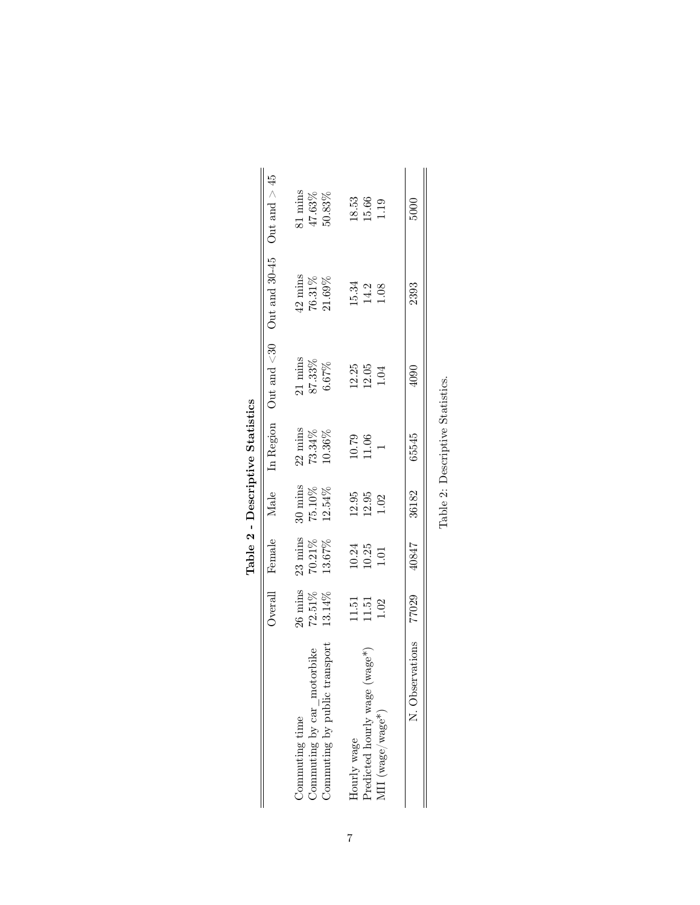|                                     |                            |                      |                      | Table 2 - Descriptive Statistics                   |                       |                                                             |                       |
|-------------------------------------|----------------------------|----------------------|----------------------|----------------------------------------------------|-----------------------|-------------------------------------------------------------|-----------------------|
|                                     | Overal                     | Female               |                      | Male In Region                                     |                       | Out and $\langle 30 \rangle$ Out and $30-45$ Out and $> 45$ |                       |
| Commuting time                      | $26 \text{ mins}$          | $23 \text{ mins}$    | $30 \text{ mins}$    | $22 \text{ mins}$                                  | $21 \text{ mins}$     | $42 \; \mathrm{mins}$                                       | 81 mins               |
| Commuting by car_motorbike          | $72.51\%$                  | $70.21\%$            | $75.10\%$            | $73.34\%$                                          | $87.33\%$             | $76.31\%$                                                   | $47.63\%$             |
| Commuting by public transport       | 13.14%                     | 13.67%               | 12.54%               | 10.36%                                             | 6.67%                 | 21.69%                                                      | $50.83\%$             |
| Hourly wage                         |                            |                      |                      |                                                    |                       |                                                             |                       |
| $(wage^*)$<br>Predicted hourly wage | $1.51$<br>$1.52$<br>$1.02$ | $\frac{10.24}{1.01}$ | $\frac{12.95}{1.02}$ | $\begin{array}{c} 10.79 \\ 11.06 \\ 1 \end{array}$ | $\frac{12.25}{12.05}$ | $\frac{15.34}{14.2}$                                        | $\frac{18.53}{15.66}$ |
| $\rm{MII}$ (wage/wage*)             |                            |                      |                      |                                                    |                       |                                                             |                       |
| N. Observations                     | 77029                      | 40847                | 36182                | 65545                                              | 4090                  | 2393                                                        | 5000                  |
|                                     |                            |                      |                      | Table 2: Descriptive Statistics.                   |                       |                                                             |                       |

| )<br>2<br>2<br>2<br>2<br>2<br>Ï |
|---------------------------------|
| ,                               |
|                                 |
|                                 |
|                                 |
|                                 |
|                                 |
| ſ                               |
|                                 |
|                                 |
| i                               |
|                                 |
| ſ                               |
|                                 |
|                                 |
| I                               |
|                                 |
|                                 |
| $\frac{2}{3}$<br>ē              |
|                                 |
|                                 |

7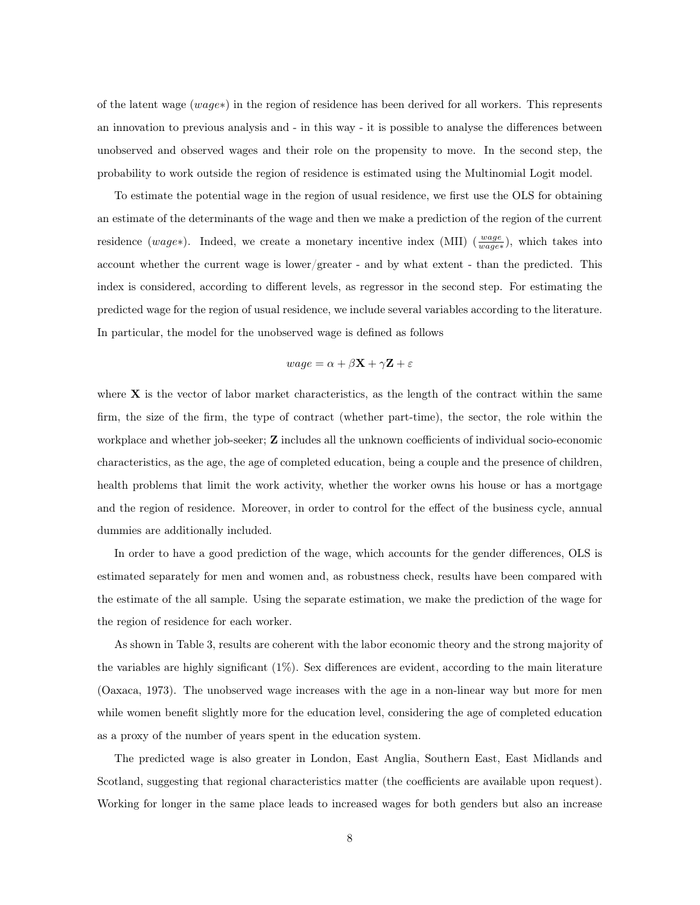of the latent wage (wage∗) in the region of residence has been derived for all workers. This represents an innovation to previous analysis and - in this way - it is possible to analyse the differences between unobserved and observed wages and their role on the propensity to move. In the second step, the probability to work outside the region of residence is estimated using the Multinomial Logit model.

To estimate the potential wage in the region of usual residence, we first use the OLS for obtaining an estimate of the determinants of the wage and then we make a prediction of the region of the current residence (wage∗). Indeed, we create a monetary incentive index (MII) ( $\frac{wage}{wage*}$ ), which takes into account whether the current wage is lower/greater - and by what extent - than the predicted. This index is considered, according to different levels, as regressor in the second step. For estimating the predicted wage for the region of usual residence, we include several variables according to the literature. In particular, the model for the unobserved wage is defined as follows

$$
wage = \alpha + \beta \mathbf{X} + \gamma \mathbf{Z} + \varepsilon
$$

where  $X$  is the vector of labor market characteristics, as the length of the contract within the same firm, the size of the firm, the type of contract (whether part-time), the sector, the role within the workplace and whether job-seeker; **Z** includes all the unknown coefficients of individual socio-economic characteristics, as the age, the age of completed education, being a couple and the presence of children, health problems that limit the work activity, whether the worker owns his house or has a mortgage and the region of residence. Moreover, in order to control for the effect of the business cycle, annual dummies are additionally included.

In order to have a good prediction of the wage, which accounts for the gender differences, OLS is estimated separately for men and women and, as robustness check, results have been compared with the estimate of the all sample. Using the separate estimation, we make the prediction of the wage for the region of residence for each worker.

As shown in Table 3, results are coherent with the labor economic theory and the strong majority of the variables are highly significant (1%). Sex differences are evident, according to the main literature (Oaxaca, 1973). The unobserved wage increases with the age in a non-linear way but more for men while women benefit slightly more for the education level, considering the age of completed education as a proxy of the number of years spent in the education system.

The predicted wage is also greater in London, East Anglia, Southern East, East Midlands and Scotland, suggesting that regional characteristics matter (the coefficients are available upon request). Working for longer in the same place leads to increased wages for both genders but also an increase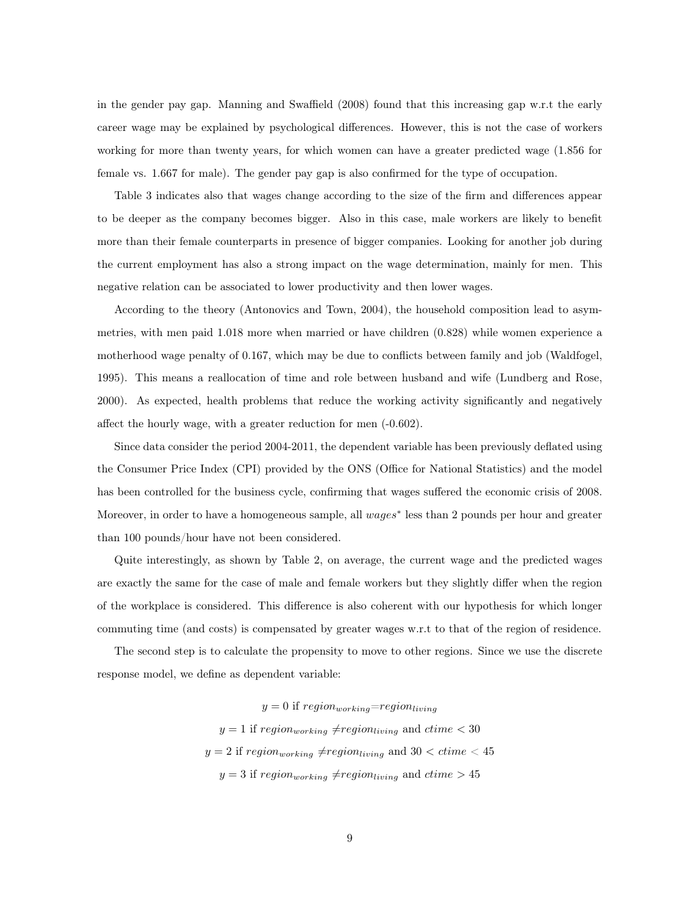in the gender pay gap. Manning and Swaffield (2008) found that this increasing gap w.r.t the early career wage may be explained by psychological differences. However, this is not the case of workers working for more than twenty years, for which women can have a greater predicted wage (1.856 for female vs. 1.667 for male). The gender pay gap is also confirmed for the type of occupation.

Table 3 indicates also that wages change according to the size of the firm and differences appear to be deeper as the company becomes bigger. Also in this case, male workers are likely to benefit more than their female counterparts in presence of bigger companies. Looking for another job during the current employment has also a strong impact on the wage determination, mainly for men. This negative relation can be associated to lower productivity and then lower wages.

According to the theory (Antonovics and Town, 2004), the household composition lead to asymmetries, with men paid 1.018 more when married or have children (0.828) while women experience a motherhood wage penalty of 0.167, which may be due to conflicts between family and job (Waldfogel, 1995). This means a reallocation of time and role between husband and wife (Lundberg and Rose, 2000). As expected, health problems that reduce the working activity significantly and negatively affect the hourly wage, with a greater reduction for men (-0.602).

Since data consider the period 2004-2011, the dependent variable has been previously deflated using the Consumer Price Index (CPI) provided by the ONS (Office for National Statistics) and the model has been controlled for the business cycle, confirming that wages suffered the economic crisis of 2008. Moreover, in order to have a homogeneous sample, all  $wages^*$  less than 2 pounds per hour and greater than 100 pounds/hour have not been considered.

Quite interestingly, as shown by Table 2, on average, the current wage and the predicted wages are exactly the same for the case of male and female workers but they slightly differ when the region of the workplace is considered. This difference is also coherent with our hypothesis for which longer commuting time (and costs) is compensated by greater wages w.r.t to that of the region of residence.

The second step is to calculate the propensity to move to other regions. Since we use the discrete response model, we define as dependent variable:

> $y = 0$  if  $region_{working} = region_{living}$  $y = 1$  if region<sub>working</sub>  $\neq$ region<sub>living</sub> and ctime < 30  $y = 2$  if region<sub>working</sub>  $\neq$ region<sub>living</sub> and 30  $<$  ctime  $<$  45  $y = 3$  if  $region_{working} \neq region_{living}$  and  $ctime > 45$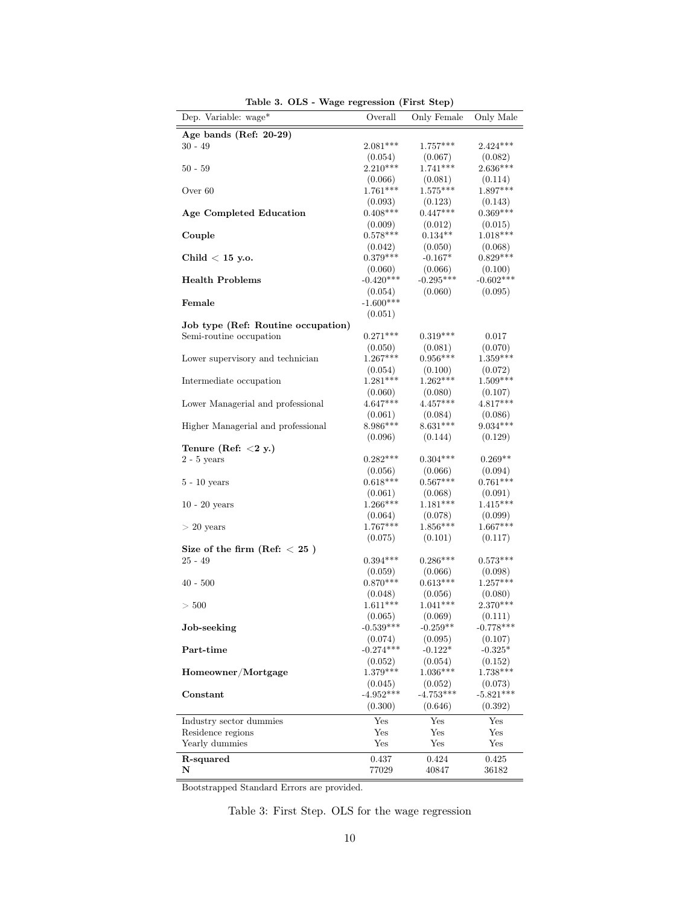| Dep. Variable: wage*               | $\frac{1}{2}$<br>Overall | Only Female            | Only Male             |
|------------------------------------|--------------------------|------------------------|-----------------------|
| Age bands (Ref: 20-29)             |                          |                        |                       |
| $30 - 49$                          | $2.081***$               | $1.757***$             | $2.424***$            |
|                                    | (0.054)                  | (0.067)                | (0.082)               |
| $50 - 59$                          | $2.210***$               | $1.741***$             | $2.636***$            |
|                                    | (0.066)                  | (0.081)                | (0.114)               |
| Over 60                            | $1.761***$               | $1.575***$             | $1.897***$            |
|                                    | (0.093)                  | (0.123)                | (0.143)               |
| <b>Age Completed Education</b>     | $0.408***$               | $0.447***$             | $0.369***$            |
|                                    | (0.009)                  | (0.012)                | (0.015)               |
| Couple                             | $0.578***$               | $0.134**$              | $1.018***$            |
|                                    | (0.042)                  | (0.050)                | (0.068)               |
| Child $<$ 15 y.o.                  | $0.379***$               | $-0.167*$              | $0.829***$            |
|                                    | (0.060)<br>$-0.420***$   | (0.066)<br>$-0.295***$ | (0.100)               |
| <b>Health Problems</b>             |                          |                        | $-0.602***$           |
| Female                             | (0.054)<br>$-1.600***$   | (0.060)                | (0.095)               |
|                                    | (0.051)                  |                        |                       |
| Job type (Ref: Routine occupation) |                          |                        |                       |
| Semi-routine occupation            | $0.271***$               | $0.319***$             | 0.017                 |
|                                    | (0.050)                  | (0.081)                | (0.070)               |
| Lower supervisory and technician   | $1.267***$               | $0.956***$             | $1.359***$            |
|                                    | (0.054)                  | (0.100)                | (0.072)               |
| Intermediate occupation            | $1.281***$               | $1.262***$             | $1.509***$            |
|                                    | (0.060)                  | (0.080)                | (0.107)               |
| Lower Managerial and professional  | $4.647***$               | $4.457***$             | $4.817***$            |
|                                    | (0.061)                  | (0.084)                | (0.086)               |
| Higher Managerial and professional | $8.986***$               | $8.631***$             | $9.034***$            |
|                                    | (0.096)                  | (0.144)                | (0.129)               |
| Tenure (Ref: $<$ 2 y.)             |                          |                        |                       |
| $2 - 5$ years                      | $0.282***$               | $0.304***$             | $0.269**$             |
|                                    | (0.056)<br>$0.618***$    | (0.066)<br>$0.567***$  | (0.094)<br>$0.761***$ |
| $5 - 10$ years                     | (0.061)                  | (0.068)                | (0.091)               |
| $10 - 20$ years                    | $1.266***$               | $1.181***$             | $1.415***$            |
|                                    | (0.064)                  | (0.078)                | (0.099)               |
| $> 20$ years                       | 1.767***                 | $1.856***$             | $1.667***$            |
|                                    | (0.075)                  | (0.101)                | (0.117)               |
| Size of the firm (Ref: $< 25$ )    |                          |                        |                       |
| $25 - 49$                          | $0.394***$               | $0.286***$             | $0.573***$            |
|                                    | (0.059)                  | (0.066)                | (0.098)               |
| $40 - 500$                         | $0.870***$               | $0.613***$             | $1.257***$            |
|                                    | (0.048)                  | (0.056)                | (0.080)               |
| >500                               | $1.611***$               | $1.041***$             | $2.370***$            |
|                                    | (0.065)                  | (0.069)                | (0.111)               |
| Job-seeking                        | $-0.539***$              | $-0.259**$             | $-0.778***$           |
| Part-time                          | (0.074)<br>$-0.274***$   | (0.095)<br>$-0.122*$   | (0.107)<br>$-0.325*$  |
|                                    | (0.052)                  | (0.054)                | (0.152)               |
| Homeowner/Mortgage                 | $1.379***$               | $1.036***$             | $1.738***$            |
|                                    | (0.045)                  | (0.052)                | (0.073)               |
| Constant                           | $-4.952***$              | $-4.753***$            | $-5.821***$           |
|                                    | (0.300)                  | (0.646)                | (0.392)               |
| Industry sector dummies            | Yes                      | Yes                    | Yes                   |
| Residence regions                  | Yes                      | Yes                    | Yes                   |
| Yearly dummies                     | Yes                      | Yes                    | Yes                   |
| R-squared                          | 0.437                    | 0.424                  | 0.425                 |
| N                                  | 77029                    | 40847                  | 36182                 |
|                                    |                          |                        |                       |

Table 3. OLS - Wage regression (First Step)

Bootstrapped Standard Errors are provided.

Table 3: First Step. OLS for the wage regression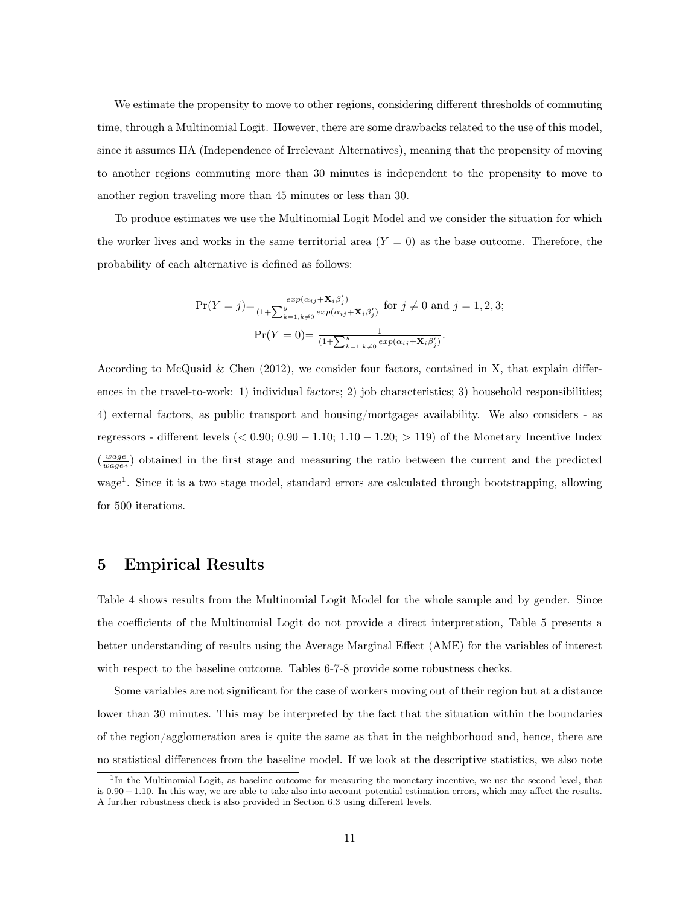We estimate the propensity to move to other regions, considering different thresholds of commuting time, through a Multinomial Logit. However, there are some drawbacks related to the use of this model, since it assumes IIA (Independence of Irrelevant Alternatives), meaning that the propensity of moving to another regions commuting more than 30 minutes is independent to the propensity to move to another region traveling more than 45 minutes or less than 30.

To produce estimates we use the Multinomial Logit Model and we consider the situation for which the worker lives and works in the same territorial area  $(Y = 0)$  as the base outcome. Therefore, the probability of each alternative is defined as follows:

$$
\Pr(Y = j) = \frac{\exp(\alpha_{ij} + \mathbf{X}_i \beta'_j)}{(1 + \sum_{k=1, k \neq 0}^{y} \exp(\alpha_{ij} + \mathbf{X}_i \beta'_j)} \text{ for } j \neq 0 \text{ and } j = 1, 2, 3;
$$

$$
\Pr(Y = 0) = \frac{1}{(1 + \sum_{k=1, k \neq 0}^{y} \exp(\alpha_{ij} + \mathbf{X}_i \beta'_j)}.
$$

According to McQuaid & Chen  $(2012)$ , we consider four factors, contained in X, that explain differences in the travel-to-work: 1) individual factors; 2) job characteristics; 3) household responsibilities; 4) external factors, as public transport and housing/mortgages availability. We also considers - as regressors - different levels ( $< 0.90; 0.90 - 1.10; 1.10 - 1.20; > 119$ ) of the Monetary Incentive Index  $(\frac{wage}{wage*})$  obtained in the first stage and measuring the ratio between the current and the predicted wage<sup>1</sup>. Since it is a two stage model, standard errors are calculated through bootstrapping, allowing for 500 iterations.

# 5 Empirical Results

Table 4 shows results from the Multinomial Logit Model for the whole sample and by gender. Since the coefficients of the Multinomial Logit do not provide a direct interpretation, Table 5 presents a better understanding of results using the Average Marginal Effect (AME) for the variables of interest with respect to the baseline outcome. Tables 6-7-8 provide some robustness checks.

Some variables are not significant for the case of workers moving out of their region but at a distance lower than 30 minutes. This may be interpreted by the fact that the situation within the boundaries of the region/agglomeration area is quite the same as that in the neighborhood and, hence, there are no statistical differences from the baseline model. If we look at the descriptive statistics, we also note

<sup>&</sup>lt;sup>1</sup>In the Multinomial Logit, as baseline outcome for measuring the monetary incentive, we use the second level, that is 0.90 − 1.10. In this way, we are able to take also into account potential estimation errors, which may affect the results. A further robustness check is also provided in Section 6.3 using different levels.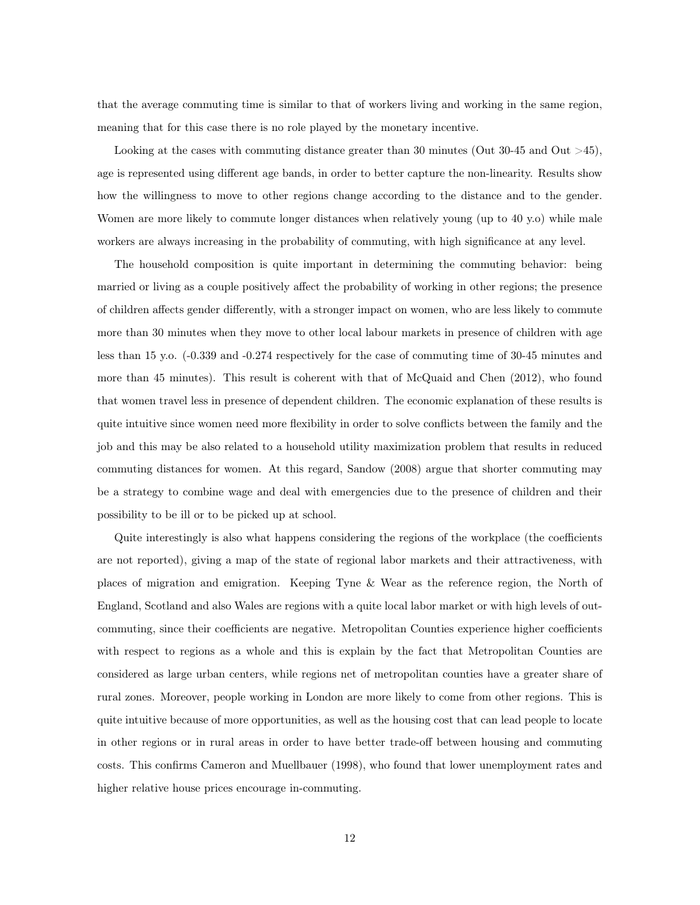that the average commuting time is similar to that of workers living and working in the same region, meaning that for this case there is no role played by the monetary incentive.

Looking at the cases with commuting distance greater than 30 minutes (Out 30-45 and Out  $>45$ ), age is represented using different age bands, in order to better capture the non-linearity. Results show how the willingness to move to other regions change according to the distance and to the gender. Women are more likely to commute longer distances when relatively young (up to 40 y.o) while male workers are always increasing in the probability of commuting, with high significance at any level.

The household composition is quite important in determining the commuting behavior: being married or living as a couple positively affect the probability of working in other regions; the presence of children affects gender differently, with a stronger impact on women, who are less likely to commute more than 30 minutes when they move to other local labour markets in presence of children with age less than 15 y.o. (-0.339 and -0.274 respectively for the case of commuting time of 30-45 minutes and more than 45 minutes). This result is coherent with that of McQuaid and Chen (2012), who found that women travel less in presence of dependent children. The economic explanation of these results is quite intuitive since women need more flexibility in order to solve conflicts between the family and the job and this may be also related to a household utility maximization problem that results in reduced commuting distances for women. At this regard, Sandow (2008) argue that shorter commuting may be a strategy to combine wage and deal with emergencies due to the presence of children and their possibility to be ill or to be picked up at school.

Quite interestingly is also what happens considering the regions of the workplace (the coefficients are not reported), giving a map of the state of regional labor markets and their attractiveness, with places of migration and emigration. Keeping Tyne & Wear as the reference region, the North of England, Scotland and also Wales are regions with a quite local labor market or with high levels of outcommuting, since their coefficients are negative. Metropolitan Counties experience higher coefficients with respect to regions as a whole and this is explain by the fact that Metropolitan Counties are considered as large urban centers, while regions net of metropolitan counties have a greater share of rural zones. Moreover, people working in London are more likely to come from other regions. This is quite intuitive because of more opportunities, as well as the housing cost that can lead people to locate in other regions or in rural areas in order to have better trade-off between housing and commuting costs. This confirms Cameron and Muellbauer (1998), who found that lower unemployment rates and higher relative house prices encourage in-commuting.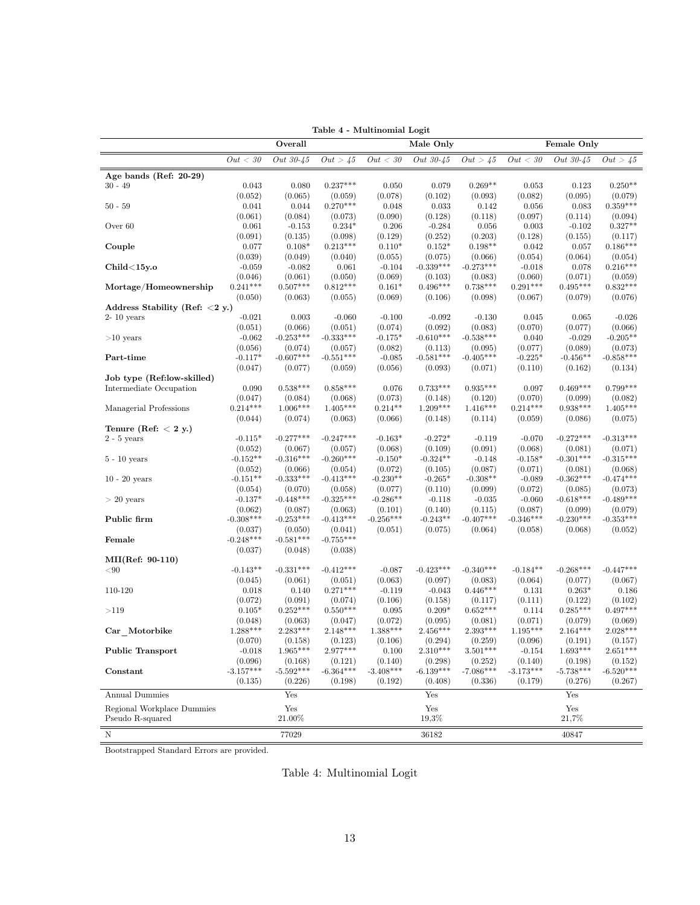|                                |             | Overall     |             |             | Male Only        |             |             | Female Only |             |  |  |
|--------------------------------|-------------|-------------|-------------|-------------|------------------|-------------|-------------|-------------|-------------|--|--|
|                                | Out < 30    | Out 30-45   | Out > 45    | Out < 30    | <i>Out</i> 30-45 | Out > 45    | Out < 30    | Out 30-45   | Out > 45    |  |  |
| Age bands (Ref: $20-29$ )      |             |             |             |             |                  |             |             |             |             |  |  |
| $30 - 49$                      | 0.043       | 0.080       | $0.237***$  | 0.050       | 0.079            | $0.269**$   | 0.053       | 0.123       | $0.250**$   |  |  |
|                                | (0.052)     | (0.065)     | (0.059)     | (0.078)     | (0.102)          | (0.093)     | (0.082)     | (0.095)     | (0.079)     |  |  |
| $50 - 59$                      | 0.041       | 0.044       | $0.270***$  | 0.048       | 0.033            | 0.142       | 0.056       | 0.083       | $0.359***$  |  |  |
|                                | (0.061)     | (0.084)     | (0.073)     | (0.090)     | (0.128)          | (0.118)     | (0.097)     | (0.114)     | (0.094)     |  |  |
| Over 60                        | 0.061       | $-0.153$    | $0.234*$    | 0.206       | $-0.284$         | 0.056       | 0.003       | $-0.102$    | $0.327**$   |  |  |
|                                | (0.091)     | (0.135)     | (0.098)     | (0.129)     | (0.252)          | (0.203)     | (0.128)     | (0.155)     | (0.117)     |  |  |
| Couple                         | 0.077       | $0.108*$    | $0.213***$  | $0.110*$    | $0.152*$         | $0.198**$   | 0.042       | 0.057       | $0.186***$  |  |  |
|                                | (0.039)     | (0.049)     | (0.040)     | (0.055)     | (0.075)          | (0.066)     | (0.054)     | (0.064)     | (0.054)     |  |  |
| Child<15y.o                    | $-0.059$    | $-0.082$    | 0.061       | $-0.104$    | $-0.339***$      | $-0.273***$ | $-0.018$    | 0.078       | $0.216***$  |  |  |
|                                | (0.046)     | (0.061)     | (0.050)     | (0.069)     | (0.103)          | (0.083)     | (0.060)     | (0.071)     | (0.059)     |  |  |
| Mortage/Homeownership          | $0.241***$  | $0.507***$  | $0.812***$  | $0.161*$    | $0.496***$       | $0.738***$  | $0.291***$  | $0.495***$  | $0.832***$  |  |  |
|                                | (0.050)     | (0.063)     | (0.055)     | (0.069)     | (0.106)          | (0.098)     | (0.067)     | (0.079)     | (0.076)     |  |  |
| Address Stability (Ref: <2 y.) |             |             |             |             |                  |             |             |             |             |  |  |
| $2-10$ years                   | $-0.021$    | 0.003       | $-0.060$    | $-0.100$    | $-0.092$         | $-0.130$    | 0.045       | 0.065       | $-0.026$    |  |  |
|                                | (0.051)     | (0.066)     | (0.051)     | (0.074)     | (0.092)          | (0.083)     | (0.070)     | (0.077)     | (0.066)     |  |  |
| $>10$ years                    | $-0.062$    | $-0.253***$ | $-0.333***$ | $-0.175*$   | $-0.610***$      | $-0.538***$ | 0.040       | $-0.029$    | $-0.205**$  |  |  |
|                                | (0.056)     | (0.074)     | (0.057)     | (0.082)     | (0.113)          | (0.095)     | (0.077)     | (0.089)     | (0.073)     |  |  |
| Part-time                      | $-0.117*$   | $-0.607***$ | $-0.551***$ | $-0.085$    | $-0.581***$      | $-0.405***$ | $-0.225*$   | $-0.456**$  | $-0.858***$ |  |  |
|                                | (0.047)     | (0.077)     | (0.059)     | (0.056)     | (0.093)          | (0.071)     | (0.110)     | (0.162)     | (0.134)     |  |  |
| Job type (Ref:low-skilled)     |             |             |             |             |                  |             |             |             |             |  |  |
| Intermediate Occupation        | 0.090       | $0.538***$  | $0.858***$  | 0.076       | $0.733***$       | $0.935***$  | 0.097       | $0.469***$  | $0.799***$  |  |  |
|                                | (0.047)     | (0.084)     | (0.068)     | (0.073)     | (0.148)          | (0.120)     | (0.070)     | (0.099)     | (0.082)     |  |  |
| Managerial Professions         | $0.214***$  | $1.006***$  | $1.405***$  | $0.214**$   | $1.209***$       | $1.416***$  | $0.214***$  | $0.938***$  | $1.405***$  |  |  |
|                                | (0.044)     | (0.074)     | (0.063)     | (0.066)     | (0.148)          | (0.114)     | (0.059)     | (0.086)     | (0.075)     |  |  |
| Tenure (Ref: $<$ 2 y.)         |             |             |             |             |                  |             |             |             |             |  |  |
| $2 - 5$ years                  | $-0.115*$   | $-0.277***$ | $-0.247***$ | $-0.163*$   | $-0.272*$        | $-0.119$    | $-0.070$    | $-0.272***$ | $-0.313***$ |  |  |
|                                | (0.052)     | (0.067)     | (0.057)     | (0.068)     | (0.109)          | (0.091)     | (0.068)     | (0.081)     | (0.071)     |  |  |
| $5 - 10$ years                 | $-0.152**$  | $-0.316***$ | $-0.260***$ | $-0.150*$   | $-0.324**$       | $-0.148$    | $-0.158*$   | $-0.301***$ | $-0.315***$ |  |  |
|                                | (0.052)     | (0.066)     | (0.054)     | (0.072)     | (0.105)          | (0.087)     | (0.071)     | (0.081)     | (0.068)     |  |  |
| $10 - 20$ years                | $-0.151**$  | $-0.333***$ | $-0.413***$ | $-0.230**$  | $-0.265*$        | $-0.308**$  | $-0.089$    | $-0.362***$ | $-0.474***$ |  |  |
|                                | (0.054)     | (0.070)     | (0.058)     | (0.077)     | (0.110)          | (0.099)     | (0.072)     | (0.085)     | (0.073)     |  |  |
| $>20$ years                    | $-0.137*$   | $-0.448***$ | $-0.325***$ | $-0.286**$  | $-0.118$         | $-0.035$    | $-0.060$    | $-0.618***$ | $-0.489***$ |  |  |
|                                | (0.062)     | (0.087)     | (0.063)     | (0.101)     | (0.140)          | (0.115)     | (0.087)     | (0.099)     | (0.079)     |  |  |
| Public firm                    | $-0.308***$ | $-0.253***$ | $-0.413***$ | $-0.256***$ | $-0.243**$       | $-0.407***$ | $-0.346***$ | $-0.230***$ | $-0.353***$ |  |  |
|                                | (0.037)     | (0.050)     | (0.041)     | (0.051)     | (0.075)          | (0.064)     | (0.058)     | (0.068)     | (0.052)     |  |  |
| Female                         | $-0.248***$ | $-0.581***$ | $-0.755***$ |             |                  |             |             |             |             |  |  |
|                                | (0.037)     | (0.048)     | (0.038)     |             |                  |             |             |             |             |  |  |
| $MI(Ref: 90-110)$              |             |             |             |             |                  |             |             |             |             |  |  |
| < 90                           | $-0.143**$  | $-0.331***$ | $-0.412***$ | $-0.087$    | $-0.423***$      | $-0.340***$ | $-0.184**$  | $-0.268***$ | $-0.447***$ |  |  |
|                                | (0.045)     | (0.061)     | (0.051)     | (0.063)     | (0.097)          | (0.083)     | (0.064)     | (0.077)     | (0.067)     |  |  |
| 110-120                        | 0.018       | 0.140       | $0.271***$  | $-0.119$    | $-0.043$         | $0.446***$  | 0.131       | $0.263*$    | 0.186       |  |  |
|                                | (0.072)     | (0.091)     | (0.074)     | (0.106)     | (0.158)          | (0.117)     | (0.111)     | (0.122)     | (0.102)     |  |  |
| >119                           | $0.105*$    | $0.252***$  | $0.550***$  | 0.095       | $0.209*$         | $0.652***$  | 0.114       | $0.285***$  | $0.497***$  |  |  |
|                                | (0.048)     | (0.063)     | (0.047)     | (0.072)     | (0.095)          | (0.081)     | (0.071)     | (0.079)     | (0.069)     |  |  |
| Car Motorbike                  | $1.288***$  | $2.283***$  | $2.148***$  | $1.388***$  | $2.456***$       | $2.393***$  | $1.195***$  | $2.164***$  | $2.028***$  |  |  |
|                                | (0.070)     | (0.158)     | (0.123)     | (0.106)     | (0.294)          | (0.259)     | (0.096)     | (0.191)     | (0.157)     |  |  |
| <b>Public Transport</b>        | $-0.018$    | $1.965***$  | 2.977***    | 0.100       | $2.310***$       | $3.501***$  | $-0.154$    | $1.693***$  | $2.651***$  |  |  |
|                                | (0.096)     | (0.168)     | (0.121)     | (0.140)     | (0.298)          | (0.252)     | (0.140)     | (0.198)     | (0.152)     |  |  |
| Constant                       | $-3.157***$ | $-5.592***$ | $-6.364***$ | $-3.408***$ | $-6.139***$      | $-7.086***$ | $-3.173***$ | $-5.738***$ | $-6.520***$ |  |  |
|                                | (0.135)     | (0.226)     | (0.198)     | (0.192)     | (0.408)          | (0.336)     | (0.179)     | (0.276)     | (0.267)     |  |  |
| <b>Annual Dummies</b>          |             | Yes         |             |             | Yes              |             |             | Yes         |             |  |  |
|                                |             |             |             |             |                  |             |             |             |             |  |  |
| Regional Workplace Dummies     |             | Yes         |             |             | Yes              |             |             | Yes         |             |  |  |
| Pseudo R-squared               |             | 21.00%      |             |             | 19,3%            |             |             | 21,7%       |             |  |  |
|                                |             |             |             |             |                  |             |             |             |             |  |  |

Table 4 - Multinomial Logit

Bootstrapped Standard Errors are provided.

Table 4: Multinomial Logit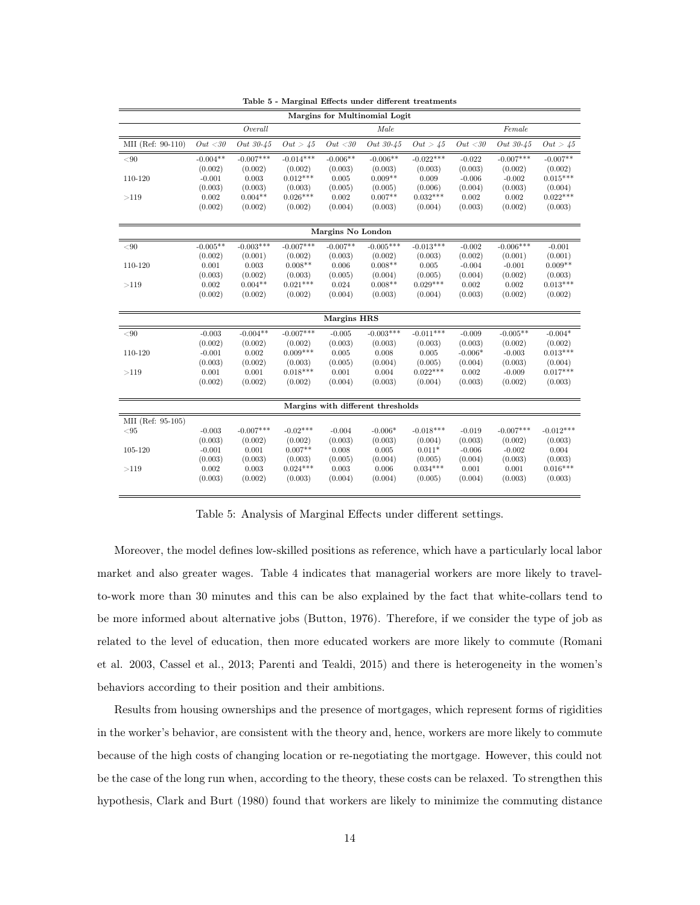|                   |            |             |             |                    | Margins for Multinomial Logit     |             |           |             |             |
|-------------------|------------|-------------|-------------|--------------------|-----------------------------------|-------------|-----------|-------------|-------------|
|                   |            | Overall     |             |                    | Male                              |             |           | Female      |             |
| MII (Ref: 90-110) | Out < 30   | Out 30-45   | Out > 45    | Out < 30           | Out 30-45                         | Out > 45    | Out < 30  | Out 30-45   | Out > 45    |
| < 90              | $-0.004**$ | $-0.007***$ | $-0.014***$ | $-0.006**$         | $-0.006**$                        | $-0.022***$ | $-0.022$  | $-0.007***$ | $-0.007**$  |
|                   | (0.002)    | (0.002)     | (0.002)     | (0.003)            | (0.003)                           | (0.003)     | (0.003)   | (0.002)     | (0.002)     |
| 110-120           | $-0.001$   | 0.003       | $0.012***$  | 0.005              | $0.009**$                         | 0.009       | $-0.006$  | $-0.002$    | $0.015***$  |
|                   | (0.003)    | (0.003)     | (0.003)     | (0.005)            | (0.005)                           | (0.006)     | (0.004)   | (0.003)     | (0.004)     |
| >119              | 0.002      | $0.004**$   | $0.026***$  | 0.002              | $0.007**$                         | $0.032***$  | 0.002     | 0.002       | $0.022***$  |
|                   | (0.002)    | (0.002)     | (0.002)     | (0.004)            | (0.003)                           | (0.004)     | (0.003)   | (0.002)     | (0.003)     |
|                   |            |             |             |                    |                                   |             |           |             |             |
|                   |            |             |             | Margins No London  |                                   |             |           |             |             |
| $< \! 90$         | $-0.005**$ | $-0.003***$ | $-0.007***$ | $-0.007**$         | $-0.005***$                       | $-0.013***$ | $-0.002$  | $-0.006***$ | $-0.001$    |
|                   | (0.002)    | (0.001)     | (0.002)     | (0.003)            | (0.002)                           | (0.003)     | (0.002)   | (0.001)     | (0.001)     |
| 110-120           | 0.001      | 0.003       | $0.008**$   | 0.006              | $0.008**$                         | 0.005       | $-0.004$  | $-0.001$    | $0.009**$   |
|                   | (0.003)    | (0.002)     | (0.003)     | (0.005)            | (0.004)                           | (0.005)     | (0.004)   | (0.002)     | (0.003)     |
| >119              | 0.002      | $0.004**$   | $0.021***$  | 0.024              | $0.008**$                         | $0.029***$  | 0.002     | 0.002       | $0.013***$  |
|                   | (0.002)    | (0.002)     | (0.002)     | (0.004)            | (0.003)                           | (0.004)     | (0.003)   | (0.002)     | (0.002)     |
|                   |            |             |             |                    |                                   |             |           |             |             |
|                   |            |             |             | <b>Margins HRS</b> |                                   |             |           |             |             |
| $< \! 90$         | $-0.003$   | $-0.004**$  | $-0.007***$ | $-0.005$           | $-0.003***$                       | $-0.011***$ | $-0.009$  | $-0.005**$  | $-0.004*$   |
|                   | (0.002)    | (0.002)     | (0.002)     | (0.003)            | (0.003)                           | (0.003)     | (0.003)   | (0.002)     | (0.002)     |
| 110-120           | $-0.001$   | 0.002       | $0.009***$  | 0.005              | 0.008                             | 0.005       | $-0.006*$ | $-0.003$    | $0.013***$  |
|                   | (0.003)    | (0.002)     | (0.003)     | (0.005)            | (0.004)                           | (0.005)     | (0.004)   | (0.003)     | (0.004)     |
| >119              | 0.001      | 0.001       | $0.018***$  | 0.001              | 0.004                             | $0.022***$  | 0.002     | $-0.009$    | $0.017***$  |
|                   | (0.002)    | (0.002)     | (0.002)     | (0.004)            | (0.003)                           | (0.004)     | (0.003)   | (0.002)     | (0.003)     |
|                   |            |             |             |                    |                                   |             |           |             |             |
|                   |            |             |             |                    | Margins with different thresholds |             |           |             |             |
| MII (Ref: 95-105) |            |             |             |                    |                                   |             |           |             |             |
| $<\!\!95$         | $-0.003$   | $-0.007***$ | $-0.02***$  | $-0.004$           | $-0.006*$                         | $-0.018***$ | $-0.019$  | $-0.007***$ | $-0.012***$ |
|                   | (0.003)    | (0.002)     | (0.002)     | (0.003)            | (0.003)                           | (0.004)     | (0.003)   | (0.002)     | (0.003)     |
| 105-120           | $-0.001$   | 0.001       | $0.007**$   | 0.008              | 0.005                             | $0.011*$    | $-0.006$  | $-0.002$    | 0.004       |
|                   | (0.003)    | (0.003)     | (0.003)     | (0.005)            | (0.004)                           | (0.005)     | (0.004)   | (0.003)     | (0.003)     |
| >119              | 0.002      | 0.003       | $0.024***$  | 0.003              | 0.006                             | $0.034***$  | 0.001     | 0.001       | $0.016***$  |
|                   | (0.003)    | (0.002)     | (0.003)     | (0.004)            | (0.004)                           | (0.005)     | (0.004)   | (0.003)     | (0.003)     |
|                   |            |             |             |                    |                                   |             |           |             |             |

Table 5 - Marginal Effects under different treatments

Table 5: Analysis of Marginal Effects under different settings.

Moreover, the model defines low-skilled positions as reference, which have a particularly local labor market and also greater wages. Table 4 indicates that managerial workers are more likely to travelto-work more than 30 minutes and this can be also explained by the fact that white-collars tend to be more informed about alternative jobs (Button, 1976). Therefore, if we consider the type of job as related to the level of education, then more educated workers are more likely to commute (Romani et al. 2003, Cassel et al., 2013; Parenti and Tealdi, 2015) and there is heterogeneity in the women's behaviors according to their position and their ambitions.

Results from housing ownerships and the presence of mortgages, which represent forms of rigidities in the worker's behavior, are consistent with the theory and, hence, workers are more likely to commute because of the high costs of changing location or re-negotiating the mortgage. However, this could not be the case of the long run when, according to the theory, these costs can be relaxed. To strengthen this hypothesis, Clark and Burt (1980) found that workers are likely to minimize the commuting distance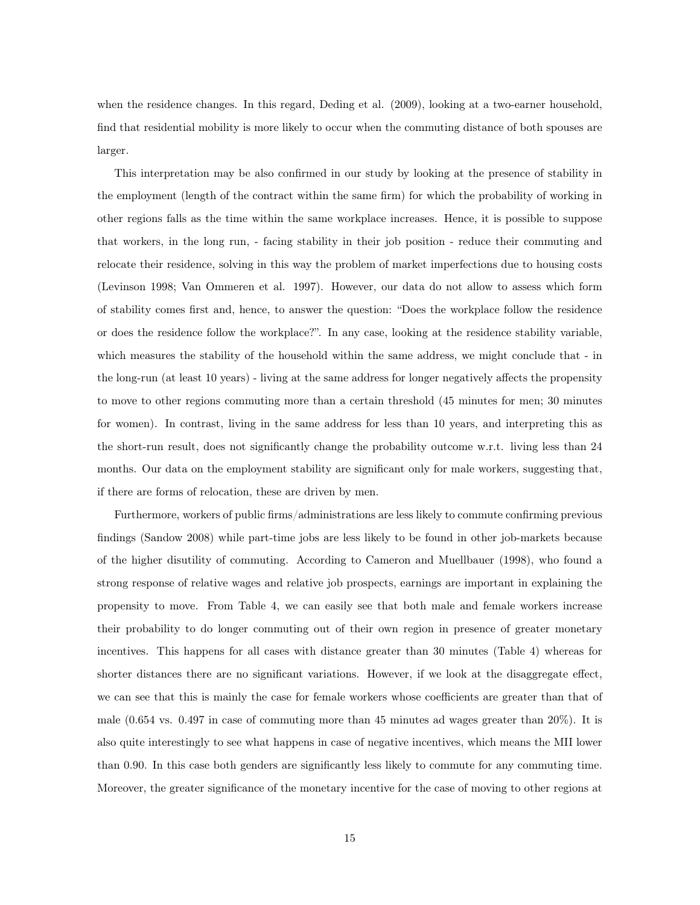when the residence changes. In this regard, Deding et al. (2009), looking at a two-earner household, find that residential mobility is more likely to occur when the commuting distance of both spouses are larger.

This interpretation may be also confirmed in our study by looking at the presence of stability in the employment (length of the contract within the same firm) for which the probability of working in other regions falls as the time within the same workplace increases. Hence, it is possible to suppose that workers, in the long run, - facing stability in their job position - reduce their commuting and relocate their residence, solving in this way the problem of market imperfections due to housing costs (Levinson 1998; Van Ommeren et al. 1997). However, our data do not allow to assess which form of stability comes first and, hence, to answer the question: "Does the workplace follow the residence or does the residence follow the workplace?". In any case, looking at the residence stability variable, which measures the stability of the household within the same address, we might conclude that - in the long-run (at least 10 years) - living at the same address for longer negatively affects the propensity to move to other regions commuting more than a certain threshold (45 minutes for men; 30 minutes for women). In contrast, living in the same address for less than 10 years, and interpreting this as the short-run result, does not significantly change the probability outcome w.r.t. living less than 24 months. Our data on the employment stability are significant only for male workers, suggesting that, if there are forms of relocation, these are driven by men.

Furthermore, workers of public firms/administrations are less likely to commute confirming previous findings (Sandow 2008) while part-time jobs are less likely to be found in other job-markets because of the higher disutility of commuting. According to Cameron and Muellbauer (1998), who found a strong response of relative wages and relative job prospects, earnings are important in explaining the propensity to move. From Table 4, we can easily see that both male and female workers increase their probability to do longer commuting out of their own region in presence of greater monetary incentives. This happens for all cases with distance greater than 30 minutes (Table 4) whereas for shorter distances there are no significant variations. However, if we look at the disaggregate effect, we can see that this is mainly the case for female workers whose coefficients are greater than that of male (0.654 vs. 0.497 in case of commuting more than 45 minutes ad wages greater than 20%). It is also quite interestingly to see what happens in case of negative incentives, which means the MII lower than 0.90. In this case both genders are significantly less likely to commute for any commuting time. Moreover, the greater significance of the monetary incentive for the case of moving to other regions at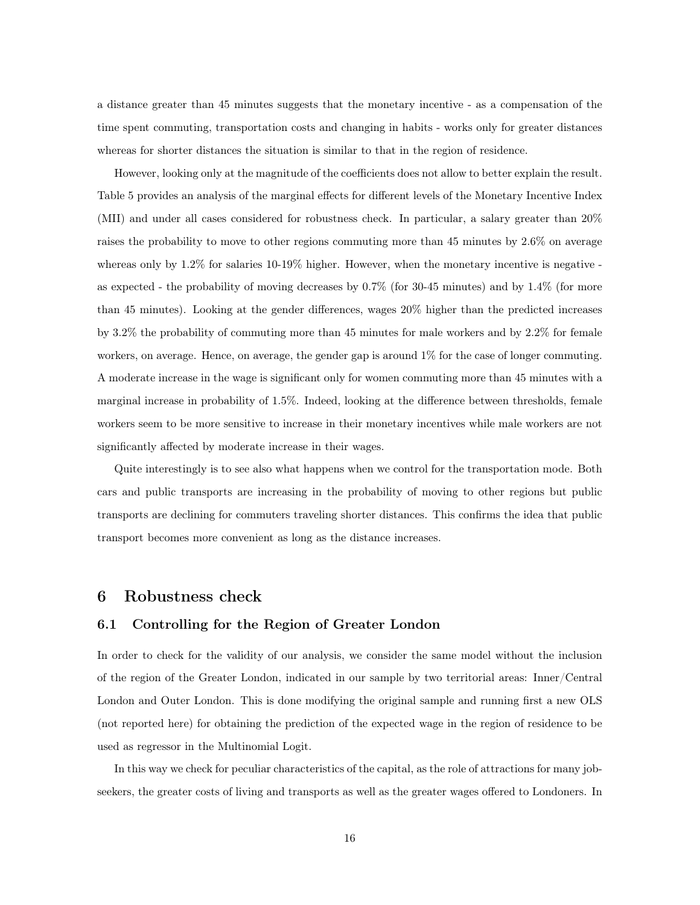a distance greater than 45 minutes suggests that the monetary incentive - as a compensation of the time spent commuting, transportation costs and changing in habits - works only for greater distances whereas for shorter distances the situation is similar to that in the region of residence.

However, looking only at the magnitude of the coefficients does not allow to better explain the result. Table 5 provides an analysis of the marginal effects for different levels of the Monetary Incentive Index (MII) and under all cases considered for robustness check. In particular, a salary greater than 20% raises the probability to move to other regions commuting more than 45 minutes by 2.6% on average whereas only by 1.2% for salaries 10-19% higher. However, when the monetary incentive is negative as expected - the probability of moving decreases by 0.7% (for 30-45 minutes) and by 1.4% (for more than 45 minutes). Looking at the gender differences, wages 20% higher than the predicted increases by 3.2% the probability of commuting more than 45 minutes for male workers and by 2.2% for female workers, on average. Hence, on average, the gender gap is around 1% for the case of longer commuting. A moderate increase in the wage is significant only for women commuting more than 45 minutes with a marginal increase in probability of 1.5%. Indeed, looking at the difference between thresholds, female workers seem to be more sensitive to increase in their monetary incentives while male workers are not significantly affected by moderate increase in their wages.

Quite interestingly is to see also what happens when we control for the transportation mode. Both cars and public transports are increasing in the probability of moving to other regions but public transports are declining for commuters traveling shorter distances. This confirms the idea that public transport becomes more convenient as long as the distance increases.

### 6 Robustness check

#### 6.1 Controlling for the Region of Greater London

In order to check for the validity of our analysis, we consider the same model without the inclusion of the region of the Greater London, indicated in our sample by two territorial areas: Inner/Central London and Outer London. This is done modifying the original sample and running first a new OLS (not reported here) for obtaining the prediction of the expected wage in the region of residence to be used as regressor in the Multinomial Logit.

In this way we check for peculiar characteristics of the capital, as the role of attractions for many jobseekers, the greater costs of living and transports as well as the greater wages offered to Londoners. In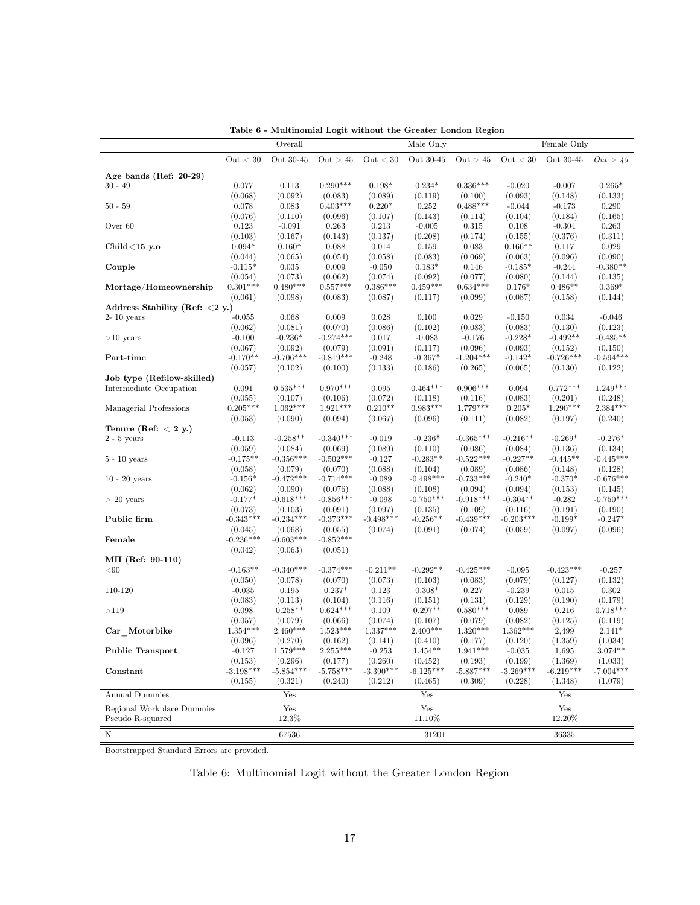|                                   |                      | Overall                |                        | Lable 0 - Multinonial Logit without the Greater London Region | Male Only              |                        |                      | Female Only          |                        |
|-----------------------------------|----------------------|------------------------|------------------------|---------------------------------------------------------------|------------------------|------------------------|----------------------|----------------------|------------------------|
|                                   | Out < 30             | Out 30-45              | Out > 45               | Out < 30                                                      | Out 30-45              | Out > 45               | Out < 30             | Out 30-45            | Out > 45               |
|                                   |                      |                        |                        |                                                               |                        |                        |                      |                      |                        |
| Age bands (Ref: $20-29$ )         | 0.077                |                        | $0.290***$             |                                                               |                        | $0.336***$             |                      |                      |                        |
| $30 - 49$                         |                      | 0.113<br>(0.092)       |                        | $0.198*$                                                      | $0.234*$<br>(0.119)    |                        | $-0.020$             | $-0.007$<br>(0.148)  | $0.265*$               |
| $50 - 59$                         | (0.068)<br>0.078     | 0.083                  | (0.083)<br>$0.403***$  | (0.089)<br>$0.220*$                                           | 0.252                  | (0.100)<br>$0.488***$  | (0.093)<br>$-0.044$  | $-0.173$             | (0.133)<br>0.290       |
|                                   | (0.076)              | (0.110)                | (0.096)                | (0.107)                                                       | (0.143)                | (0.114)                | (0.104)              | (0.184)              | (0.165)                |
| Over 60                           | 0.123                | $-0.091$               | 0.263                  | 0.213                                                         | $-0.005$               | 0.315                  | 0.108                | $-0.304$             | 0.263                  |
|                                   | (0.103)              | (0.167)                | (0.143)                | (0.137)                                                       | (0.208)                | (0.174)                | (0.155)              | (0.376)              | (0.311)                |
| Child $<$ 15 y.o                  | $0.094*$             | $0.160*$               | 0.088                  | 0.014                                                         | 0.159                  | 0.083                  | $0.166**$            | 0.117                | 0.029                  |
|                                   | (0.044)              | (0.065)                | (0.054)                | (0.058)                                                       | (0.083)                | (0.069)                | (0.063)              | (0.096)              | (0.090)                |
| Couple                            | $-0.115*$            | 0.035                  | 0.009                  | $-0.050$                                                      | $0.183*$               | 0.146                  | $-0.185*$            | $-0.244$             | $-0.380**$             |
|                                   | (0.054)              | (0.073)                | (0.062)                | (0.074)                                                       | (0.092)                | (0.077)                | (0.080)              | (0.144)              | (0.135)                |
| Mortage/Homeownership             | $0.301***$           | $0.480***$             | $0.557***$             | $0.386***$                                                    | $0.459***$             | $0.634***$             | $0.176*$             | $0.486**$            | $0.369*$               |
|                                   | (0.061)              | (0.098)                | (0.083)                | (0.087)                                                       | (0.117)                | (0.099)                | (0.087)              | (0.158)              | (0.144)                |
| Address Stability (Ref: $<$ 2 y.) |                      |                        |                        |                                                               |                        |                        |                      |                      |                        |
| $2-10$ years                      | $-0.055$             | 0.068                  | 0.009                  | 0.028                                                         | 0.100                  | 0.029                  | $-0.150$             | 0.034                | $-0.046$               |
|                                   | (0.062)              | (0.081)                | (0.070)                | (0.086)                                                       | (0.102)                | (0.083)                | (0.083)              | (0.130)              | (0.123)                |
| $>10$ years                       | $-0.100$             | $-0.236*$              | $-0.274***$            | 0.017                                                         | $-0.083$               | $-0.176$               | $-0.228*$            | $-0.492**$           | $-0.485**$             |
|                                   | (0.067)              | (0.092)                | (0.079)                | (0.091)                                                       | (0.117)                | (0.096)                | (0.093)              | (0.152)              | (0.150)                |
| Part-time                         | $-0.170**$           | $-0.706***$            | $-0.819***$            | $-0.248$                                                      | $-0.367*$              | $-1.204***$            | $-0.142*$            | $-0.726***$          | $-0.594***$            |
|                                   | (0.057)              | (0.102)                | (0.100)                | (0.133)                                                       | (0.186)                | (0.265)                | (0.065)              | (0.130)              | (0.122)                |
| Job type (Ref:low-skilled)        |                      |                        |                        |                                                               |                        |                        |                      |                      |                        |
| Intermediate Occupation           | 0.091                | $0.535***$             | $0.970***$             | 0.095                                                         | $0.464***$             | $0.906***$             | 0.094                | $0.772***$           | $1.249***$             |
|                                   | (0.055)              | (0.107)                | (0.106)                | (0.072)                                                       | (0.118)                | (0.116)                | (0.083)              | (0.201)              | (0.248)                |
| Managerial Professions            | $0.205***$           | $1.062***$             | $1.921***$             | $0.210**$                                                     | $0.983***$             | $1.779***$             | $0.205*$             | $1.290***$           | $2.384***$             |
|                                   | (0.053)              | (0.090)                | (0.094)                | (0.067)                                                       | (0.096)                | (0.111)                | (0.082)              | (0.197)              | (0.240)                |
| Tenure (Ref: $< 2 y$ .)           |                      |                        |                        |                                                               |                        |                        |                      |                      |                        |
| $2 - 5$ years                     | $-0.113$             | $-0.258**$             | $-0.340***$            | $-0.019$                                                      | $-0.236*$              | $-0.365***$            | $-0.216**$           | $-0.269*$            | $-0.276*$              |
|                                   | (0.059)              | (0.084)                | (0.069)                | (0.089)                                                       | (0.110)                | (0.086)                | (0.084)              | (0.136)              | (0.134)                |
| $5 - 10$ years                    | $-0.175**$           | $-0.356***$            | $-0.502***$            | $-0.127$                                                      | $-0.283**$             | $-0.522***$            | $-0.227**$           | $-0.445**$           | $-0.445***$            |
|                                   | (0.058)<br>$-0.156*$ | (0.079)<br>$-0.472***$ | (0.070)<br>$-0.714***$ | (0.088)<br>$-0.089$                                           | (0.104)<br>$-0.498***$ | (0.089)<br>$-0.733***$ | (0.086)<br>$-0.240*$ | (0.148)<br>$-0.370*$ | (0.128)<br>$-0.676***$ |
| $10 - 20$ years                   | (0.062)              | (0.090)                | (0.076)                | (0.088)                                                       | (0.108)                | (0.094)                | (0.094)              | (0.153)              | (0.145)                |
| $> 20$ years                      | $-0.177*$            | $-0.618***$            | $-0.856***$            | $-0.098$                                                      | $-0.750***$            | $-0.918***$            | $-0.304**$           | $-0.282$             | $-0.750***$            |
|                                   | (0.073)              | (0.103)                | (0.091)                | (0.097)                                                       | (0.135)                | (0.109)                | (0.116)              | (0.191)              | (0.190)                |
| Public firm                       | $-0.343***$          | $-0.234***$            | $-0.373***$            | $-0.498***$                                                   | $-0.256**$             | $-0.439***$            | $-0.203***$          | $-0.199*$            | $-0.247*$              |
|                                   | (0.045)              | (0.068)                | (0.055)                | (0.074)                                                       | (0.091)                | (0.074)                | (0.059)              | (0.097)              | (0.096)                |
| Female                            | $-0.236***$          | $-0.603***$            | $-0.852***$            |                                                               |                        |                        |                      |                      |                        |
|                                   | (0.042)              | (0.063)                | (0.051)                |                                                               |                        |                        |                      |                      |                        |
| MII (Ref: 90-110)                 |                      |                        |                        |                                                               |                        |                        |                      |                      |                        |
| < 90                              | $-0.163**$           | $-0.340***$            | $-0.374***$            | $-0.211**$                                                    | $-0.292**$             | $-0.425***$            | $-0.095$             | $-0.423***$          | $-0.257$               |
|                                   | (0.050)              | (0.078)                | (0.070)                | (0.073)                                                       | (0.103)                | (0.083)                | (0.079)              | (0.127)              | (0.132)                |
| 110-120                           | $-0.035$             | 0.195                  | $0.237*$               | 0.123                                                         | $0.308*$               | 0.227                  | $-0.239$             | 0.015                | $0.302\,$              |
|                                   | (0.083)              | (0.113)                | (0.104)                | (0.116)                                                       | (0.151)                | (0.131)                | (0.129)              | (0.190)              | (0.179)                |
| >119                              | 0.098                | $0.258**$              | $0.624***$             | 0.109                                                         | $0.297**$              | $0.580***$             | 0.089                | 0.216                | $0.718***$             |
|                                   | (0.057)              | (0.079)                | (0.066)                | (0.074)                                                       | (0.107)                | (0.079)                | (0.082)              | (0.125)              | (0.119)                |
| Car Motorbike                     | $1.354***$           | $2.460***$             | $1.523***$             | $1.337***$                                                    | $2.400***$             | $1.320***$             | $1.362***$           | 2,499                | $2.141*$               |
|                                   | (0.096)              | (0.270)                | (0.162)                | (0.141)                                                       | (0.410)                | (0.177)                | (0.120)              | (1.359)              | (1.034)                |
| <b>Public Transport</b>           | $-0.127$             | $1.579***$             | $2.255***$             | $-0.253$                                                      | $1.454**$              | $1.941***$             | $-0.035$             | 1,695                | $3.074**$              |
|                                   | (0.153)              | (0.296)                | (0.177)                | (0.260)                                                       | (0.452)                | (0.193)                | (0.199)              | (1.369)              | (1.033)                |
| Constant                          | $-3.198***$          | $-5.854***$            | $-5.758***$            | $-3.390***$                                                   | $-6.125***$            | $-5.887***$            | $-3.269***$          | $-6.219***$          | $-7.004***$            |
|                                   | (0.155)              | (0.321)                | (0.240)                | (0.212)                                                       | (0.465)                | (0.309)                | (0.228)              | (1.348)              | (1.079)                |
| <b>Annual Dummies</b>             |                      | Yes                    |                        |                                                               | Yes                    |                        |                      | Yes                  |                        |
| Regional Workplace Dummies        |                      | Yes                    |                        |                                                               | $\operatorname{Yes}$   |                        |                      | Yes                  |                        |
| Pseudo R-squared                  |                      | 12,3%                  |                        |                                                               | 11.10%                 |                        |                      | 12.20%               |                        |
|                                   |                      |                        |                        |                                                               |                        |                        |                      |                      |                        |
| $\mathbf N$                       |                      | 67536                  |                        |                                                               | $31201\,$              |                        |                      | 36335                |                        |

Table 6 - Multinomial Logit without the Greater London Region

Bootstrapped Standard Errors are provided.

### Table 6: Multinomial Logit without the Greater London Region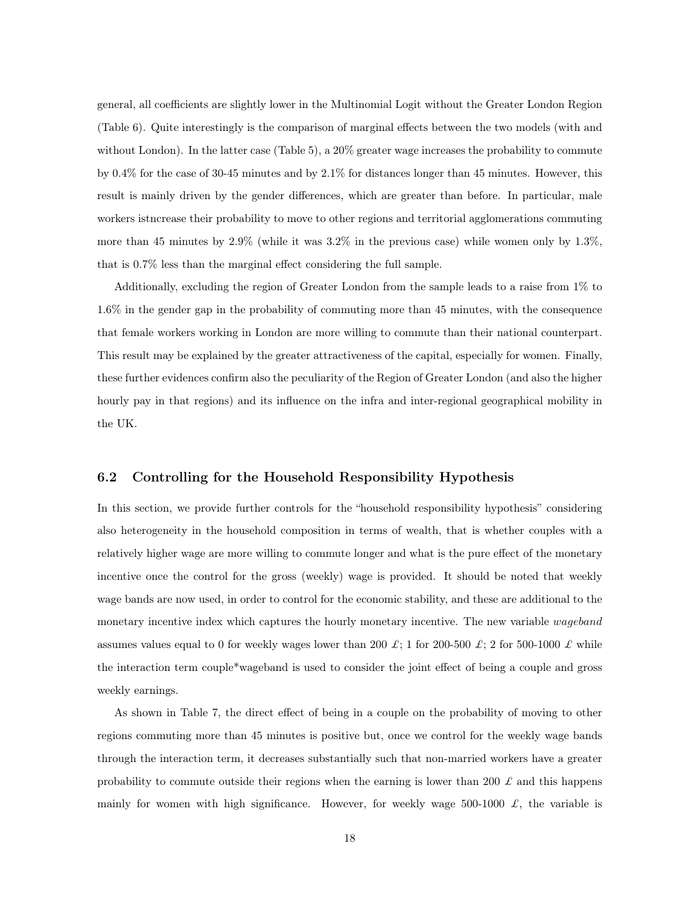general, all coefficients are slightly lower in the Multinomial Logit without the Greater London Region (Table 6). Quite interestingly is the comparison of marginal effects between the two models (with and without London). In the latter case (Table 5), a 20% greater wage increases the probability to commute by 0.4% for the case of 30-45 minutes and by 2.1% for distances longer than 45 minutes. However, this result is mainly driven by the gender differences, which are greater than before. In particular, male workers istncrease their probability to move to other regions and territorial agglomerations commuting more than 45 minutes by  $2.9\%$  (while it was  $3.2\%$  in the previous case) while women only by  $1.3\%$ , that is 0.7% less than the marginal effect considering the full sample.

Additionally, excluding the region of Greater London from the sample leads to a raise from 1% to 1.6% in the gender gap in the probability of commuting more than 45 minutes, with the consequence that female workers working in London are more willing to commute than their national counterpart. This result may be explained by the greater attractiveness of the capital, especially for women. Finally, these further evidences confirm also the peculiarity of the Region of Greater London (and also the higher hourly pay in that regions) and its influence on the infra and inter-regional geographical mobility in the UK.

#### 6.2 Controlling for the Household Responsibility Hypothesis

In this section, we provide further controls for the "household responsibility hypothesis" considering also heterogeneity in the household composition in terms of wealth, that is whether couples with a relatively higher wage are more willing to commute longer and what is the pure effect of the monetary incentive once the control for the gross (weekly) wage is provided. It should be noted that weekly wage bands are now used, in order to control for the economic stability, and these are additional to the monetary incentive index which captures the hourly monetary incentive. The new variable *wageband* assumes values equal to 0 for weekly wages lower than 200 £; 1 for 200-500 £; 2 for 500-1000 £ while the interaction term couple\*wageband is used to consider the joint effect of being a couple and gross weekly earnings.

As shown in Table 7, the direct effect of being in a couple on the probability of moving to other regions commuting more than 45 minutes is positive but, once we control for the weekly wage bands through the interaction term, it decreases substantially such that non-married workers have a greater probability to commute outside their regions when the earning is lower than 200  $\pounds$  and this happens mainly for women with high significance. However, for weekly wage 500-1000  $\pounds$ , the variable is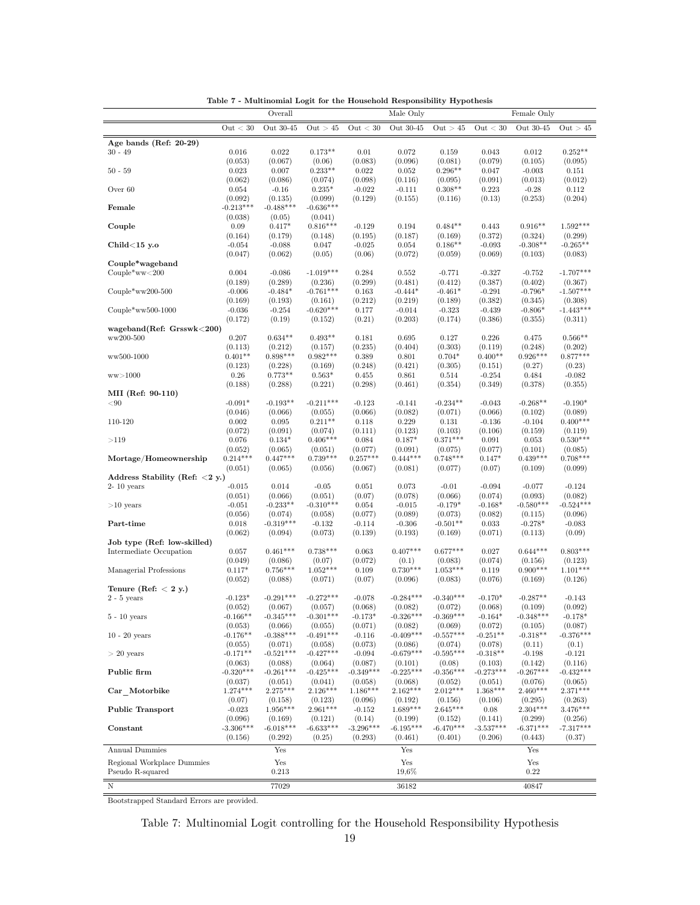|                                                   |                        | Overall                |                        |                      | Male Only              |                        |                       | Female Only            |                        |
|---------------------------------------------------|------------------------|------------------------|------------------------|----------------------|------------------------|------------------------|-----------------------|------------------------|------------------------|
|                                                   | Out $<$ 30             | Out 30-45              | Out > 45               | Out < 30             | Out 30-45              | Out > 45               | Out < 30              | Out 30-45              | Out > 45               |
| Age bands (Ref: $20-29$ )                         |                        |                        |                        |                      |                        |                        |                       |                        |                        |
| $30 - 49$                                         | 0.016                  | 0.022                  | $0.173**$              | 0.01                 | 0.072                  | 0.159                  | 0.043                 | 0.012                  | $0.252**$              |
| $50 - 59$                                         | (0.053)<br>0.023       | (0.067)<br>0.007       | (0.06)<br>$0.233**$    | (0.083)<br>0.022     | (0.096)<br>0.052       | (0.081)<br>$0.296**$   | (0.079)<br>0.047      | (0.105)<br>$-0.003$    | (0.095)<br>0.151       |
|                                                   | (0.062)                | (0.086)                | (0.074)                | (0.098)              | (0.116)                | (0.095)                | (0.091)               | (0.013)                | (0.012)                |
| Over 60                                           | 0.054                  | $-0.16$                | $0.235*$               | $-0.022$             | $-0.111$               | $0.308**$              | 0.223                 | $-0.28$                | 0.112                  |
|                                                   | (0.092)                | (0.135)                | (0.099)                | (0.129)              | (0.155)                | (0.116)                | (0.13)                | (0.253)                | (0.204)                |
| Female                                            | $-0.213***$<br>(0.038) | $-0.488***$<br>(0.05)  | $-0.636***$<br>(0.041) |                      |                        |                        |                       |                        |                        |
| Couple                                            | 0.09                   | $0.417*$               | $0.816***$             | $-0.129$             | 0.194                  | $0.484**$              | 0.443                 | $0.916**$              | $1.592***$             |
|                                                   | (0.164)                | (0.179)                | (0.148)                | (0.195)              | (0.187)                | (0.169)                | (0.372)               | (0.324)                | (0.299)                |
| Child $<$ 15 y.o                                  | $-0.054$               | $-0.088$<br>(0.062)    | 0.047<br>(0.05)        | $-0.025$             | 0.054                  | $0.186**$              | $-0.093$              | $-0.308**$             | $-0.265**$             |
| Couple*wageband                                   | (0.047)                |                        |                        | (0.06)               | (0.072)                | (0.059)                | (0.069)               | (0.103)                | (0.083)                |
| $Couple*ww<200$                                   | 0.004                  | $-0.086$               | $-1.019***$            | 0.284                | 0.552                  | $-0.771$               | $-0.327$              | $-0.752$               | $-1.707***$            |
|                                                   | (0.189)                | (0.289)                | (0.236)                | (0.299)              | (0.481)                | (0.412)                | (0.387)               | (0.402)                | (0.367)                |
| $Couple*ww200-500$                                | $-0.006$               | $-0.484*$              | $-0.761***$            | 0.163                | $-0.444*$              | $-0.461*$              | $-0.291$              | $-0.796*$              | $-1.507***$            |
| $Couple*ww500-1000$                               | (0.169)<br>$-0.036$    | (0.193)<br>$-0.254$    | (0.161)<br>$-0.620***$ | (0.212)<br>0.177     | (0.219)<br>$-0.014$    | (0.189)<br>$-0.323$    | (0.382)<br>$-0.439$   | (0.345)<br>$-0.806*$   | (0.308)<br>$-1.443***$ |
|                                                   | (0.172)                | (0.19)                 | (0.152)                | (0.21)               | (0.203)                | (0.174)                | (0.386)               | (0.355)                | (0.311)                |
| wageband(Ref: $Grsswk < 200$ )                    |                        |                        |                        |                      |                        |                        |                       |                        |                        |
| $\scriptstyle\rm{ww200-500}$                      | 0.207<br>(0.113)       | $0.634**$<br>(0.212)   | $0.493**$<br>(0.157)   | 0.181<br>(0.235)     | 0.695<br>(0.404)       | 0.127<br>(0.303)       | 0.226<br>(0.119)      | 0.475<br>(0.248)       | $0.566**$<br>(0.202)   |
| ww500-1000                                        | $0.401**$              | $0.898***$             | $0.982***$             | 0.389                | 0.801                  | $0.704*$               | $0.400**$             | $0.926***$             | $0.877***$             |
|                                                   | (0.123)                | (0.228)                | (0.169)                | (0.248)              | (0.421)                | (0.305)                | (0.151)               | (0.27)                 | (0.23)                 |
| ww > 1000                                         | $0.26\,$               | $0.773**$              | $0.563*$               | 0.455                | 0.861                  | 0.514                  | $-0.254$              | 0.484                  | $-0.082$               |
| MII (Ref: 90-110)                                 | (0.188)                | (0.288)                | (0.221)                | (0.298)              | (0.461)                | (0.354)                | (0.349)               | (0.378)                | (0.355)                |
| $< \!\!90$                                        | $-0.091*$              | $-0.193**$             | $-0.211***$            | $-0.123$             | $-0.141$               | $-0.234**$             | $-0.043$              | $-0.268**$             | $-0.190*$              |
|                                                   | (0.046)                | (0.066)                | (0.055)                | (0.066)              | (0.082)                | (0.071)                | (0.066)               | (0.102)                | (0.089)                |
| 110-120                                           | 0.002                  | 0.095                  | $0.211**$              | 0.118                | 0.229                  | 0.131                  | $-0.136$              | $-0.104$               | $0.400***$             |
| >119                                              | (0.072)<br>0.076       | (0.091)<br>$0.134*$    | (0.074)<br>$0.406***$  | (0.111)<br>0.084     | (0.123)<br>$0.187*$    | (0.103)<br>$0.371***$  | (0.106)<br>0.091      | (0.159)<br>0.053       | (0.119)<br>$0.530***$  |
|                                                   | (0.052)                | (0.065)                | (0.051)                | (0.077)              | (0.091)                | (0.075)                | (0.077)               | (0.101)                | (0.085)                |
| Mortage/Homeownership                             | $0.214***$             | $0.447***$             | $0.739***$             | $0.257***$           | $0.444***$             | $0.748***$             | $0.147*$              | $0.439***$             | $0.708***$             |
|                                                   | (0.051)                | (0.065)                | (0.056)                | (0.067)              | (0.081)                | (0.077)                | (0.07)                | (0.109)                | (0.099)                |
| Address Stability (Ref: $<$ 2 y.)<br>$2-10$ years | $-0.015$               | 0.014                  | $-0.05$                | 0.051                | 0.073                  | $-0.01$                | $-0.094$              | $-0.077$               | $-0.124$               |
|                                                   | (0.051)                | (0.066)                | (0.051)                | (0.07)               | (0.078)                | (0.066)                | (0.074)               | (0.093)                | (0.082)                |
| $>10$ years                                       | $-0.051$               | $-0.233**$             | $-0.310***$            | 0.054                | $-0.015$               | $-0.179*$              | $-0.168*$             | $-0.580***$            | $-0.524***$            |
| Part-time                                         | (0.056)<br>0.018       | (0.074)<br>$-0.319***$ | (0.058)<br>$-0.132$    | (0.077)<br>$-0.114$  | (0.089)<br>$-0.306$    | (0.073)<br>$-0.501**$  | (0.082)<br>0.033      | (0.115)<br>$-0.278*$   | (0.096)<br>$-0.083$    |
|                                                   | (0.062)                | (0.094)                | (0.073)                | (0.139)              | (0.193)                | (0.169)                | (0.071)               | (0.113)                | (0.09)                 |
| Job type (Ref: low-skilled)                       |                        |                        |                        |                      |                        |                        |                       |                        |                        |
| Intermediate Occupation                           | 0.057                  | $0.461***$             | $0.738***$             | 0.063                | $0.407***$             | $0.677***$             | 0.027                 | $0.644***$             | $0.803***$             |
| Managerial Professions                            | (0.049)<br>$0.117*$    | (0.086)<br>$0.756***$  | (0.07)<br>$1.052***$   | (0.072)<br>0.109     | (0.1)<br>$0.730***$    | (0.083)<br>$1.053***$  | (0.074)<br>0.119      | (0.156)<br>$0.900***$  | (0.123)<br>$1.101***$  |
|                                                   | (0.052)                | (0.088)                | (0.071)                | (0.07)               | (0.096)                | (0.083)                | (0.076)               | (0.169)                | (0.126)                |
| Tenure (Ref: $< 2 y$ .)                           |                        |                        |                        |                      |                        |                        |                       |                        |                        |
| $2 - 5$ years                                     | $-0.123*$              | $-0.291***$            | $-0.272***$            | $-0.078$             | $-0.284***$            | $-0.340***$            | $-0.170*$             | $-0.287**$             | $-0.143$               |
| $5 - 10$ years                                    | (0.052)<br>$-0.166**$  | (0.067)<br>$-0.345***$ | (0.057)<br>$-0.301***$ | (0.068)<br>$-0.173*$ | (0.082)<br>$-0.326***$ | (0.072)<br>$-0.369***$ | (0.068)<br>$-0.164*$  | (0.109)<br>$-0.348***$ | (0.092)<br>$-0.178*$   |
|                                                   | (0.053)                | (0.066)                | (0.055)                | (0.071)              | (0.082)                | (0.069)                | (0.072)               | (0.105)                | (0.087)                |
| $10 - 20$ years                                   | $-0.176**$             | $-0.388***$            | $-0.491***$            | $-0.116$             | $-0.409***$            | $-0.557***$            | $-0.251**$            | $-0.318**$             | $-0.376***$            |
|                                                   | (0.055)<br>$-0.171**$  | (0.071)                | (0.058)<br>$-0.427***$ | (0.073)              | (0.086)<br>$-0.679***$ | (0.074)<br>$-0.595***$ | (0.078)               | (0.11)                 | (0.1)                  |
| $>20$ years                                       | (0.063)                | $-0.521***$<br>(0.088) | (0.064)                | $-0.094$<br>(0.087)  | (0.101)                | (0.08)                 | $-0.318**$<br>(0.103) | $-0.198$<br>(0.142)    | $-0.121$<br>(0.116)    |
| Public firm                                       | $-0.320***$            | $-0.261***$            | $-0.425***$            | $-0.349***$          | $-0.225***$            | $-0.356***$            | $-0.273***$           | $-0.267***$            | $-0.432***$            |
|                                                   | (0.037)                | (0.051)                | (0.041)                | (0.058)              | (0.068)                | (0.052)                | (0.051)               | (0.076)                | (0.065)                |
| Car Motorbike                                     | $1.274***$             | $2.275***$             | $2.126***$             | $1.186***$           | $2.162***$             | $2.012***$             | $1.368***$            | $2.460***$             | $2.371***$             |
| <b>Public Transport</b>                           | (0.07)<br>$-0.023$     | (0.158)<br>$1.956***$  | (0.123)<br>$2.961***$  | (0.096)<br>$-0.152$  | (0.192)<br>$1.689***$  | (0.156)<br>$2.645***$  | (0.106)<br>$0.08\,$   | (0.295)<br>$2.304***$  | (0.263)<br>$3.476***$  |
|                                                   | (0.096)                | (0.169)                | (0.121)                | (0.14)               | (0.199)                | (0.152)                | (0.141)               | (0.299)                | (0.256)                |
| Constant                                          | $-3.306***$            | $-6.018***$            | $-6.633***$            | $-3.296***$          | $-6.195***$            | $-6.470***$            | $-3.537***$           | $-6.371***$            | $-7.317***$            |
|                                                   | (0.156)                | (0.292)                | (0.25)                 | (0.293)              | (0.461)                | (0.401)                | (0.206)               | (0.443)                | (0.37)                 |
| <b>Annual Dummies</b>                             |                        | Yes                    |                        |                      | Yes                    |                        |                       | Yes                    |                        |
| Regional Workplace Dummies                        |                        | Yes                    |                        |                      | Yes                    |                        |                       | Yes                    |                        |
| Pseudo R-squared                                  |                        | 0.213                  |                        |                      | 19,6%                  |                        |                       | $0.22\,$               |                        |
| N                                                 |                        | 77029                  |                        |                      | 36182                  |                        |                       | 40847                  |                        |

Table 7 - Multinomial Logit for the Household Responsibility Hypothesis

Bootstrapped Standard Errors are provided.

# Table 7: Multinomial Logit controlling for the Household Responsibility Hypothesis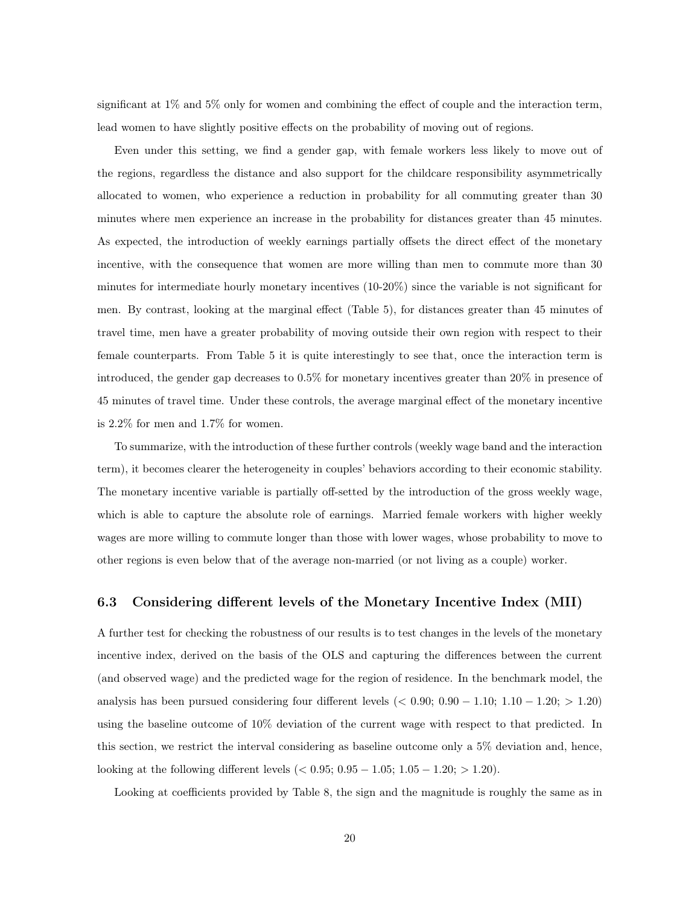significant at 1% and 5% only for women and combining the effect of couple and the interaction term, lead women to have slightly positive effects on the probability of moving out of regions.

Even under this setting, we find a gender gap, with female workers less likely to move out of the regions, regardless the distance and also support for the childcare responsibility asymmetrically allocated to women, who experience a reduction in probability for all commuting greater than 30 minutes where men experience an increase in the probability for distances greater than 45 minutes. As expected, the introduction of weekly earnings partially offsets the direct effect of the monetary incentive, with the consequence that women are more willing than men to commute more than 30 minutes for intermediate hourly monetary incentives (10-20%) since the variable is not significant for men. By contrast, looking at the marginal effect (Table 5), for distances greater than 45 minutes of travel time, men have a greater probability of moving outside their own region with respect to their female counterparts. From Table 5 it is quite interestingly to see that, once the interaction term is introduced, the gender gap decreases to 0.5% for monetary incentives greater than 20% in presence of 45 minutes of travel time. Under these controls, the average marginal effect of the monetary incentive is 2.2% for men and 1.7% for women.

To summarize, with the introduction of these further controls (weekly wage band and the interaction term), it becomes clearer the heterogeneity in couples' behaviors according to their economic stability. The monetary incentive variable is partially off-setted by the introduction of the gross weekly wage, which is able to capture the absolute role of earnings. Married female workers with higher weekly wages are more willing to commute longer than those with lower wages, whose probability to move to other regions is even below that of the average non-married (or not living as a couple) worker.

#### 6.3 Considering different levels of the Monetary Incentive Index (MII)

A further test for checking the robustness of our results is to test changes in the levels of the monetary incentive index, derived on the basis of the OLS and capturing the differences between the current (and observed wage) and the predicted wage for the region of residence. In the benchmark model, the analysis has been pursued considering four different levels ( $< 0.90; 0.90 - 1.10; 1.10 - 1.20; > 1.20$ ) using the baseline outcome of 10% deviation of the current wage with respect to that predicted. In this section, we restrict the interval considering as baseline outcome only a 5% deviation and, hence, looking at the following different levels ( $< 0.95; 0.95 - 1.05; 1.05 - 1.20; > 1.20$ ).

Looking at coefficients provided by Table 8, the sign and the magnitude is roughly the same as in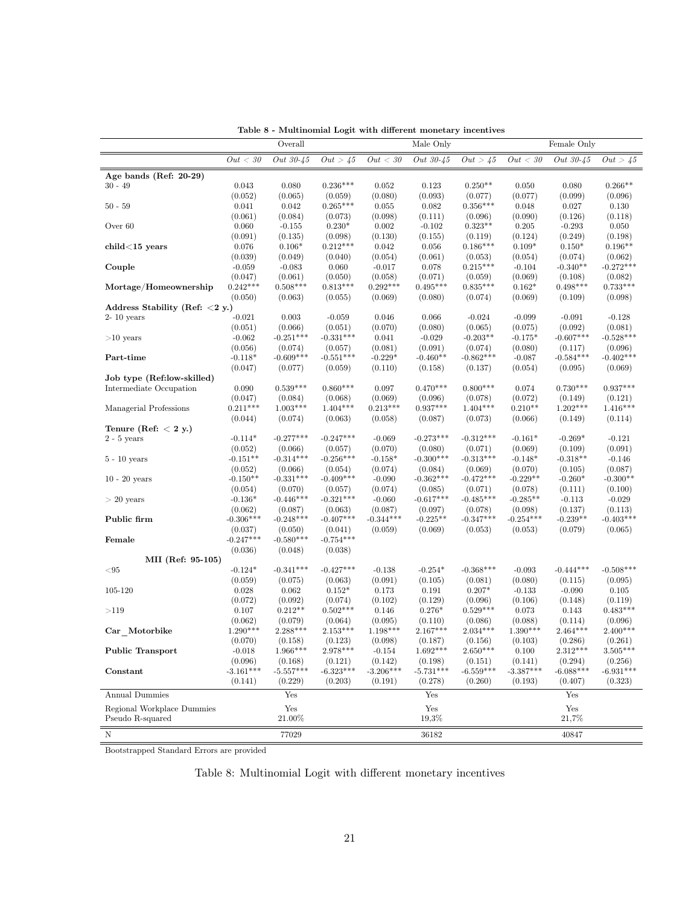|                                   |                        | Lable o - Multinonnal Logit with unferent monetary intentives<br>Overall |                        |                        | Male Only              |                        |                        | Female Only            |                        |
|-----------------------------------|------------------------|--------------------------------------------------------------------------|------------------------|------------------------|------------------------|------------------------|------------------------|------------------------|------------------------|
|                                   | Out < 30               | Out 30-45                                                                | Out > 45               | Out < 30               | Out 30-45              | Out > 45               | Out < 30               | Out 30-45              | Out > 45               |
| Age bands (Ref: 20-29)            |                        |                                                                          |                        |                        |                        |                        |                        |                        |                        |
| $30 - 49$                         | 0.043                  | 0.080                                                                    | $0.236***$             | 0.052                  | 0.123                  | $0.250**$              | 0.050                  | 0.080                  | $0.266**$              |
|                                   | (0.052)                | (0.065)                                                                  | (0.059)                | (0.080)                | (0.093)                | (0.077)                | (0.077)                | (0.099)                | (0.096)                |
| $50 - 59$                         | 0.041                  | 0.042                                                                    | $0.265***$             | 0.055                  | 0.082                  | $0.356***$             | 0.048                  | 0.027                  | 0.130                  |
|                                   | (0.061)                | (0.084)                                                                  | (0.073)                | (0.098)                | (0.111)                | (0.096)                | (0.090)                | (0.126)                | (0.118)                |
| Over 60                           | 0.060                  | $-0.155$                                                                 | $0.230*$               | 0.002                  | $-0.102$               | $0.323**$              | 0.205                  | $-0.293$               | 0.050                  |
|                                   | (0.091)                | (0.135)                                                                  | (0.098)                | (0.130)                | (0.155)                | (0.119)                | (0.124)                | (0.249)                | (0.198)                |
| $child<15$ years                  | 0.076                  | $0.106*$                                                                 | $0.212***$             | 0.042                  | 0.056                  | $0.186***$             | $0.109*$               | $0.150*$               | $0.196**$              |
|                                   | (0.039)                | (0.049)                                                                  | (0.040)                | (0.054)                | (0.061)                | (0.053)                | (0.054)                | (0.074)                | (0.062)                |
| Couple                            | $-0.059$               | $-0.083$                                                                 | 0.060                  | $-0.017$               | 0.078                  | $0.215***$             | $-0.104$               | $-0.340**$             | $-0.272***$            |
|                                   | (0.047)                | (0.061)                                                                  | (0.050)                | (0.058)                | (0.071)                | (0.059)                | (0.069)                | (0.108)                | (0.082)                |
| Mortage/Homeownership             | $0.242***$             | $0.508***$                                                               | $0.813***$             | $0.292***$             | $0.495***$             | $0.835***$             | $0.162*$               | $0.498***$             | $0.733***$             |
|                                   | (0.050)                | (0.063)                                                                  | (0.055)                | (0.069)                | (0.080)                | (0.074)                | (0.069)                | (0.109)                | (0.098)                |
| Address Stability (Ref: $<$ 2 y.) |                        |                                                                          |                        |                        |                        |                        |                        |                        |                        |
| $2-10$ years                      | $-0.021$               | 0.003                                                                    | $-0.059$               | 0.046                  | 0.066                  | $-0.024$               | $-0.099$               | $-0.091$               | $-0.128$               |
|                                   | (0.051)                | (0.066)                                                                  | (0.051)                | (0.070)                | (0.080)                | (0.065)                | (0.075)                | (0.092)                | (0.081)                |
| $>10$ years                       | $-0.062$               | $-0.251***$                                                              | $-0.331***$            | 0.041                  | $-0.029$               | $-0.203**$             | $-0.175*$              | $-0.607***$            | $-0.528***$            |
|                                   | (0.056)                | (0.074)                                                                  | (0.057)                | (0.081)                | (0.091)                | (0.074)                | (0.080)                | (0.117)                | (0.096)                |
| Part-time                         | $-0.118*$              | $-0.609***$                                                              | $-0.551***$            | $-0.229*$              | $-0.460**$             | $-0.862***$            | $-0.087$               | $-0.584***$            | $-0.402***$            |
|                                   | (0.047)                | (0.077)                                                                  | (0.059)                | (0.110)                | (0.158)                | (0.137)                | (0.054)                | (0.095)                | (0.069)                |
| Job type (Ref:low-skilled)        |                        |                                                                          |                        |                        |                        |                        |                        |                        |                        |
| Intermediate Occupation           | 0.090                  | $0.539***$                                                               | $0.860***$             | 0.097                  | $0.470***$             | $0.800***$             | 0.074                  | $0.730***$             | $0.937***$             |
|                                   | (0.047)                | (0.084)                                                                  | (0.068)                | (0.069)                | (0.096)                | (0.078)                | (0.072)                | (0.149)                | (0.121)                |
| Managerial Professions            | $0.211***$             | $1.003***$                                                               | $1.404***$             | $0.213***$             | $0.937***$             | $1.404***$             | $0.210**$              | $1.202***$             | $1.416***$             |
|                                   | (0.044)                | (0.074)                                                                  | (0.063)                | (0.058)                | (0.087)                | (0.073)                | (0.066)                | (0.149)                | (0.114)                |
| Tenure (Ref: $< 2 y$ .)           |                        |                                                                          |                        |                        |                        |                        |                        |                        |                        |
| $2 - 5$ years                     | $-0.114*$              | $-0.277***$                                                              | $-0.247***$            | $-0.069$               | $-0.273***$            | $-0.312***$            | $-0.161*$              | $-0.269*$              | $-0.121$               |
|                                   | (0.052)                | (0.066)                                                                  | (0.057)                | (0.070)                | (0.080)                | (0.071)                | (0.069)                | (0.109)                | (0.091)                |
| $5 - 10$ years                    | $-0.151**$             | $-0.314***$                                                              | $-0.256***$            | $-0.158*$              | $-0.300***$            | $-0.313***$            | $-0.148*$              | $-0.318**$             | $-0.146$               |
|                                   | (0.052)                | (0.066)                                                                  | (0.054)                | (0.074)                | (0.084)                | (0.069)                | (0.070)                | (0.105)                | (0.087)                |
| $10 - 20$ years                   | $-0.150**$             | $-0.331***$                                                              | $-0.409***$            | $-0.090$               | $-0.362***$            | $-0.472***$            | $-0.229**$             | $-0.260*$              | $-0.300**$             |
|                                   | (0.054)                | (0.070)                                                                  | (0.057)                | (0.074)                | (0.085)                | (0.071)                | (0.078)                | (0.111)                | (0.100)                |
| $> 20$ years                      | $-0.136*$              | $-0.446***$                                                              | $-0.321***$            | $-0.060$               | $-0.617***$            | $-0.485***$            | $-0.285**$             | $-0.113$               | $-0.029$               |
|                                   | (0.062)                | (0.087)                                                                  | (0.063)                | (0.087)                | (0.097)                | (0.078)                | (0.098)                | (0.137)                | (0.113)                |
| Public firm                       | $-0.306***$            | $-0.248***$                                                              | $-0.407***$            | $-0.344***$            | $-0.225**$             | $-0.347***$            | $-0.254***$            | $-0.239**$             | $-0.403***$            |
|                                   | (0.037)                | (0.050)                                                                  | (0.041)                | (0.059)                | (0.069)                | (0.053)                | (0.053)                | (0.079)                | (0.065)                |
| Female                            | $-0.247***$            | $-0.580***$                                                              | $-0.754***$            |                        |                        |                        |                        |                        |                        |
|                                   | (0.036)                | (0.048)                                                                  | (0.038)                |                        |                        |                        |                        |                        |                        |
| MII (Ref: 95-105)                 |                        |                                                                          |                        |                        |                        |                        |                        |                        |                        |
| < 95                              | $-0.124*$              | $-0.341***$                                                              | $-0.427***$            | $-0.138$               | $-0.254*$              | $-0.368***$            | $-0.093$               | $-0.444***$            | $-0.508***$            |
|                                   | (0.059)                | (0.075)                                                                  | (0.063)                | (0.091)                | (0.105)                | (0.081)                | (0.080)                | (0.115)                | (0.095)                |
| 105-120                           | 0.028                  | 0.062                                                                    | $0.152*$               | 0.173                  | 0.191                  | $0.207*$               | $-0.133$               | $-0.090$               | 0.105                  |
|                                   | (0.072)                | (0.092)                                                                  | (0.074)                | (0.102)                | (0.129)                | (0.096)                | (0.106)                | (0.148)                | (0.119)                |
| >119                              | 0.107                  | $0.212**$                                                                | $0.502***$             | 0.146                  | $0.276*$               | $0.529***$             | 0.073                  | 0.143                  | $0.483***$             |
|                                   | (0.062)                | (0.079)                                                                  | (0.064)                | (0.095)                | (0.110)                | (0.086)                | (0.088)                | (0.114)                | (0.096)                |
| Car Motorbike                     | $1.290***$             | $2.288***$                                                               | $2.153***$             | $1.198***$             | $2.167***$             | $2.034***$             | $1.390***$             | $2.464***$             | $2.400***$             |
|                                   | (0.070)                | (0.158)                                                                  | (0.123)                | (0.098)                | (0.187)                | (0.156)                | (0.103)                | (0.286)                | (0.261)                |
| Public Transport                  | $-0.018$               | $1.966***$                                                               | 2.978***               | $-0.154$               | $1.692***$             | $2.650***$             | 0.100                  | $2.312***$             | $3.505***$             |
|                                   | (0.096)<br>$-3.161***$ | (0.168)                                                                  | (0.121)<br>$-6.323***$ | (0.142)<br>$-3.206***$ | (0.198)<br>$-5.731***$ | (0.151)<br>$-6.559***$ | (0.141)<br>$-3.387***$ | (0.294)<br>$-6.088***$ | (0.256)<br>$-6.931***$ |
| Constant                          |                        | $-5.557***$                                                              |                        |                        |                        |                        |                        |                        |                        |
|                                   | (0.141)                | (0.229)                                                                  | (0.203)                | (0.191)                | (0.278)                | (0.260)                | (0.193)                | (0.407)                | (0.323)                |
| <b>Annual Dummies</b>             |                        | Yes                                                                      |                        |                        | Yes                    |                        |                        | Yes                    |                        |
| Regional Workplace Dummies        |                        | Yes                                                                      |                        |                        | $\operatorname{Yes}$   |                        |                        | $\operatorname{Yes}$   |                        |
| Pseudo R-squared                  |                        | 21.00%                                                                   |                        |                        | 19,3%                  |                        |                        | 21,7%                  |                        |
|                                   |                        |                                                                          |                        |                        |                        |                        |                        |                        |                        |
| Ν                                 |                        | 77029                                                                    |                        |                        | 36182                  |                        |                        | 40847                  |                        |
|                                   |                        |                                                                          |                        |                        |                        |                        |                        |                        |                        |

Table 8 - Multinomial Logit with different monetary incentives

Bootstrapped Standard Errors are provided

### Table 8: Multinomial Logit with different monetary incentives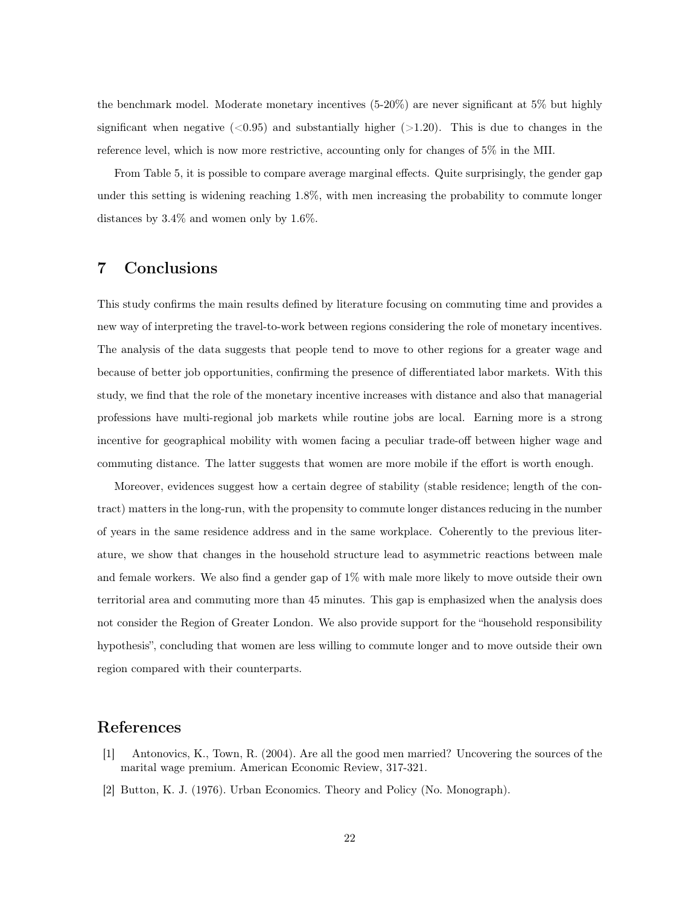the benchmark model. Moderate monetary incentives (5-20%) are never significant at 5% but highly significant when negative  $(<0.95$ ) and substantially higher  $(>1.20)$ . This is due to changes in the reference level, which is now more restrictive, accounting only for changes of 5% in the MII.

From Table 5, it is possible to compare average marginal effects. Quite surprisingly, the gender gap under this setting is widening reaching 1.8%, with men increasing the probability to commute longer distances by 3.4% and women only by 1.6%.

# 7 Conclusions

This study confirms the main results defined by literature focusing on commuting time and provides a new way of interpreting the travel-to-work between regions considering the role of monetary incentives. The analysis of the data suggests that people tend to move to other regions for a greater wage and because of better job opportunities, confirming the presence of differentiated labor markets. With this study, we find that the role of the monetary incentive increases with distance and also that managerial professions have multi-regional job markets while routine jobs are local. Earning more is a strong incentive for geographical mobility with women facing a peculiar trade-off between higher wage and commuting distance. The latter suggests that women are more mobile if the effort is worth enough.

Moreover, evidences suggest how a certain degree of stability (stable residence; length of the contract) matters in the long-run, with the propensity to commute longer distances reducing in the number of years in the same residence address and in the same workplace. Coherently to the previous literature, we show that changes in the household structure lead to asymmetric reactions between male and female workers. We also find a gender gap of 1% with male more likely to move outside their own territorial area and commuting more than 45 minutes. This gap is emphasized when the analysis does not consider the Region of Greater London. We also provide support for the "household responsibility hypothesis", concluding that women are less willing to commute longer and to move outside their own region compared with their counterparts.

### References

- [1] Antonovics, K., Town, R. (2004). Are all the good men married? Uncovering the sources of the marital wage premium. American Economic Review, 317-321.
- [2] Button, K. J. (1976). Urban Economics. Theory and Policy (No. Monograph).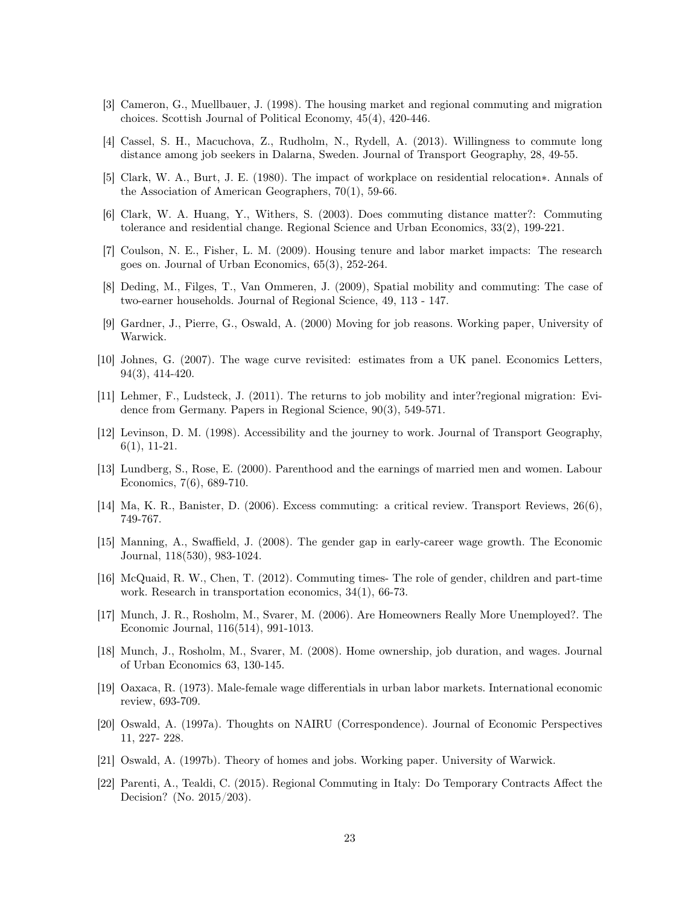- [3] Cameron, G., Muellbauer, J. (1998). The housing market and regional commuting and migration choices. Scottish Journal of Political Economy, 45(4), 420-446.
- [4] Cassel, S. H., Macuchova, Z., Rudholm, N., Rydell, A. (2013). Willingness to commute long distance among job seekers in Dalarna, Sweden. Journal of Transport Geography, 28, 49-55.
- [5] Clark, W. A., Burt, J. E. (1980). The impact of workplace on residential relocation∗. Annals of the Association of American Geographers, 70(1), 59-66.
- [6] Clark, W. A. Huang, Y., Withers, S. (2003). Does commuting distance matter?: Commuting tolerance and residential change. Regional Science and Urban Economics, 33(2), 199-221.
- [7] Coulson, N. E., Fisher, L. M. (2009). Housing tenure and labor market impacts: The research goes on. Journal of Urban Economics, 65(3), 252-264.
- [8] Deding, M., Filges, T., Van Ommeren, J. (2009), Spatial mobility and commuting: The case of two-earner households. Journal of Regional Science, 49, 113 - 147.
- [9] Gardner, J., Pierre, G., Oswald, A. (2000) Moving for job reasons. Working paper, University of Warwick.
- [10] Johnes, G. (2007). The wage curve revisited: estimates from a UK panel. Economics Letters, 94(3), 414-420.
- [11] Lehmer, F., Ludsteck, J. (2011). The returns to job mobility and inter?regional migration: Evidence from Germany. Papers in Regional Science, 90(3), 549-571.
- [12] Levinson, D. M. (1998). Accessibility and the journey to work. Journal of Transport Geography, 6(1), 11-21.
- [13] Lundberg, S., Rose, E. (2000). Parenthood and the earnings of married men and women. Labour Economics, 7(6), 689-710.
- [14] Ma, K. R., Banister, D. (2006). Excess commuting: a critical review. Transport Reviews, 26(6), 749-767.
- [15] Manning, A., Swaffield, J. (2008). The gender gap in early-career wage growth. The Economic Journal, 118(530), 983-1024.
- [16] McQuaid, R. W., Chen, T. (2012). Commuting times- The role of gender, children and part-time work. Research in transportation economics, 34(1), 66-73.
- [17] Munch, J. R., Rosholm, M., Svarer, M. (2006). Are Homeowners Really More Unemployed?. The Economic Journal, 116(514), 991-1013.
- [18] Munch, J., Rosholm, M., Svarer, M. (2008). Home ownership, job duration, and wages. Journal of Urban Economics 63, 130-145.
- [19] Oaxaca, R. (1973). Male-female wage differentials in urban labor markets. International economic review, 693-709.
- [20] Oswald, A. (1997a). Thoughts on NAIRU (Correspondence). Journal of Economic Perspectives 11, 227- 228.
- [21] Oswald, A. (1997b). Theory of homes and jobs. Working paper. University of Warwick.
- [22] Parenti, A., Tealdi, C. (2015). Regional Commuting in Italy: Do Temporary Contracts Affect the Decision? (No. 2015/203).